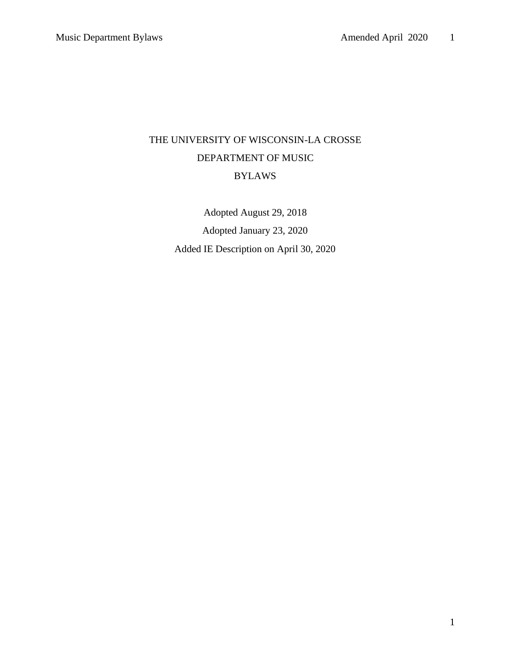# THE UNIVERSITY OF WISCONSIN-LA CROSSE DEPARTMENT OF MUSIC BYLAWS

Adopted August 29, 2018 Adopted January 23, 2020 Added IE Description on April 30, 2020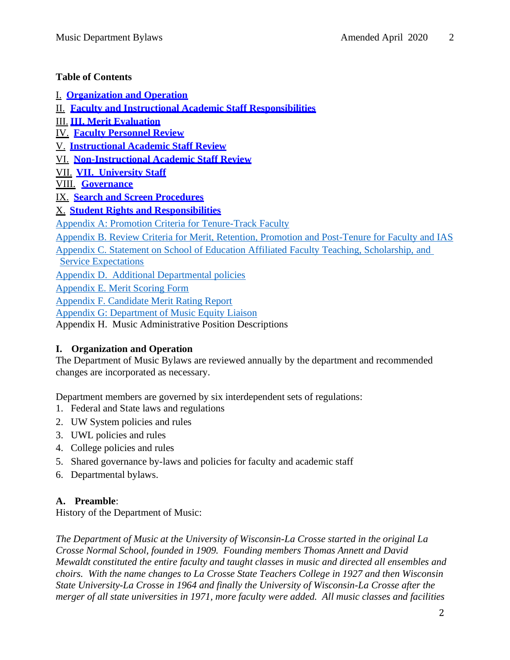#### **Table of Contents**

I. **Organization and Operation**

II. **[Faculty and Instructional Academic Staff Responsibilities](#page-39-0)** 

III. **[III. Merit Evaluation](#page-7-0)**

IV. **[Faculty Personnel Review](#page-9-0)**

V. **[Instructional Academic Staff Review](#page-17-0)**

VI. **[Non-Instructional Academic Staff Review](#page-20-0)**

VII. **[VII. University Staff](#page-20-1)**

VIII. **[Governance](#page-20-2)**

IX. **[Search and Screen Procedures](#page-24-0)**

X. **[Student Rights and Responsibilities](#page-28-0)**

[Appendix A: Promotion Criteria for Tenure-Track Faculty](#page-31-0)

[Appendix B. Review Criteria for Merit, Retention, Promotion and Post-Tenure for Faculty and IAS](#page-32-0)

[Appendix C. Statement on School of Education Affiliated Faculty Teaching, Scholarship, and](#page-35-0) 

[Service Expectations](#page-35-0)

[Appendix D. Additional Departmental policies](#page-37-0)

[Appendix E. Merit Scoring Form](#page-38-0)

[Appendix F. Candidate Merit Rating Report](#page-39-0)

[Appendix G: Department of Music Equity Liaison](#page-39-1)

Appendix H. Music Administrative Position Descriptions

## **I. Organization and Operation**

The Department of Music Bylaws are reviewed annually by the department and recommended changes are incorporated as necessary.

Department members are governed by six interdependent sets of regulations:

- 1. Federal and State laws and regulations
- 2. UW System policies and rules
- 3. UWL policies and rules
- 4. College policies and rules
- 5. Shared governance by-laws and policies for faculty and academic staff
- 6. Departmental bylaws.

## **A. Preamble**:

History of the Department of Music:

*The Department of Music at the University of Wisconsin-La Crosse started in the original La Crosse Normal School, founded in 1909. Founding members Thomas Annett and David Mewaldt constituted the entire faculty and taught classes in music and directed all ensembles and choirs. With the name changes to La Crosse State Teachers College in 1927 and then Wisconsin State University-La Crosse in 1964 and finally the University of Wisconsin-La Crosse after the merger of all state universities in 1971, more faculty were added. All music classes and facilities*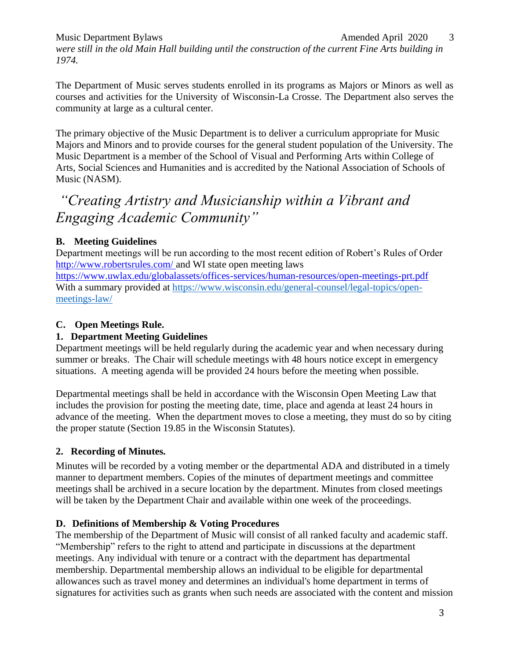Music Department Bylaws and the contract of the Amended April 2020 3 *were still in the old Main Hall building until the construction of the current Fine Arts building in 1974.* 

The Department of Music serves students enrolled in its programs as Majors or Minors as well as courses and activities for the University of Wisconsin-La Crosse. The Department also serves the community at large as a cultural center.

The primary objective of the Music Department is to deliver a curriculum appropriate for Music Majors and Minors and to provide courses for the general student population of the University. The Music Department is a member of the School of Visual and Performing Arts within College of Arts, Social Sciences and Humanities and is accredited by the National Association of Schools of Music (NASM).

# *"Creating Artistry and Musicianship within a Vibrant and Engaging Academic Community"*

## **B. Meeting Guidelines**

Department meetings will be run according to the most recent edition of Robert's Rules of Order [http://www.robertsrules.com/ a](http://www.robertsrules.com/)nd WI state open meeting laws

<https://www.uwlax.edu/globalassets/offices-services/human-resources/open-meetings-prt.pdf> With a summary provided at [https://www.wisconsin.edu/general-counsel/legal-topics/open](https://www.wisconsin.edu/general-counsel/legal-topics/open-meetings-law/)[meetings-law/](https://www.wisconsin.edu/general-counsel/legal-topics/open-meetings-law/)

## **C. Open Meetings Rule.**

## **1. Department Meeting Guidelines**

Department meetings will be held regularly during the academic year and when necessary during summer or breaks. The Chair will schedule meetings with 48 hours notice except in emergency situations. A meeting agenda will be provided 24 hours before the meeting when possible.

Departmental meetings shall be held in accordance with the Wisconsin Open Meeting Law that includes the provision for posting the meeting date, time, place and agenda at least 24 hours in advance of the meeting. When the department moves to close a meeting, they must do so by citing the proper statute (Section 19.85 in the Wisconsin Statutes).

## **2. Recording of Minutes***.*

Minutes will be recorded by a voting member or the departmental ADA and distributed in a timely manner to department members. Copies of the minutes of department meetings and committee meetings shall be archived in a secure location by the department. Minutes from closed meetings will be taken by the Department Chair and available within one week of the proceedings.

## **D. Definitions of Membership & Voting Procedures**

The membership of the Department of Music will consist of all ranked faculty and academic staff. "Membership" refers to the right to attend and participate in discussions at the department meetings. Any individual with tenure or a contract with the department has departmental membership. Departmental membership allows an individual to be eligible for departmental allowances such as travel money and determines an individual's home department in terms of signatures for activities such as grants when such needs are associated with the content and mission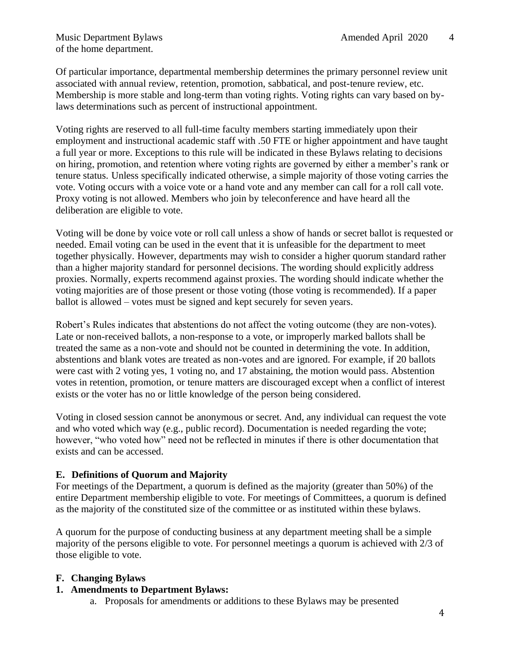of the home department.

Of particular importance, departmental membership determines the primary personnel review unit associated with annual review, retention, promotion, sabbatical, and post-tenure review, etc. Membership is more stable and long-term than voting rights. Voting rights can vary based on bylaws determinations such as percent of instructional appointment.

Voting rights are reserved to all full-time faculty members starting immediately upon their employment and instructional academic staff with .50 FTE or higher appointment and have taught a full year or more. Exceptions to this rule will be indicated in these Bylaws relating to decisions on hiring, promotion, and retention where voting rights are governed by either a member's rank or tenure status. Unless specifically indicated otherwise, a simple majority of those voting carries the vote. Voting occurs with a voice vote or a hand vote and any member can call for a roll call vote. Proxy voting is not allowed. Members who join by teleconference and have heard all the deliberation are eligible to vote.

Voting will be done by voice vote or roll call unless a show of hands or secret ballot is requested or needed. Email voting can be used in the event that it is unfeasible for the department to meet together physically. However, departments may wish to consider a higher quorum standard rather than a higher majority standard for personnel decisions. The wording should explicitly address proxies. Normally, experts recommend against proxies. The wording should indicate whether the voting majorities are of those present or those voting (those voting is recommended). If a paper ballot is allowed – votes must be signed and kept securely for seven years.

Robert's Rules indicates that abstentions do not affect the voting outcome (they are non-votes). Late or non-received ballots, a non-response to a vote, or improperly marked ballots shall be treated the same as a non-vote and should not be counted in determining the vote. In addition, abstentions and blank votes are treated as non-votes and are ignored. For example, if 20 ballots were cast with 2 voting yes, 1 voting no, and 17 abstaining, the motion would pass. Abstention votes in retention, promotion, or tenure matters are discouraged except when a conflict of interest exists or the voter has no or little knowledge of the person being considered.

Voting in closed session cannot be anonymous or secret. And, any individual can request the vote and who voted which way (e.g., public record). Documentation is needed regarding the vote; however, "who voted how" need not be reflected in minutes if there is other documentation that exists and can be accessed.

#### **E. Definitions of Quorum and Majority**

For meetings of the Department, a quorum is defined as the majority (greater than 50%) of the entire Department membership eligible to vote. For meetings of Committees, a quorum is defined as the majority of the constituted size of the committee or as instituted within these bylaws.

A quorum for the purpose of conducting business at any department meeting shall be a simple majority of the persons eligible to vote. For personnel meetings a quorum is achieved with 2/3 of those eligible to vote.

#### **F. Changing Bylaws**

#### **1. Amendments to Department Bylaws:**

a. Proposals for amendments or additions to these Bylaws may be presented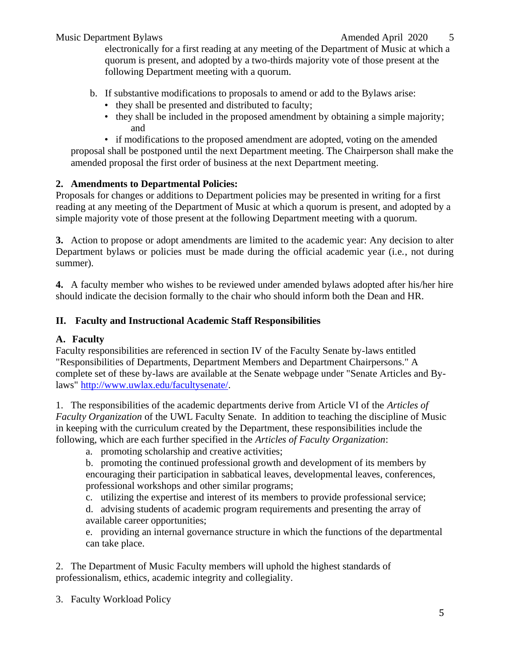electronically for a first reading at any meeting of the Department of Music at which a quorum is present, and adopted by a two-thirds majority vote of those present at the following Department meeting with a quorum.

- b. If substantive modifications to proposals to amend or add to the Bylaws arise:
	- they shall be presented and distributed to faculty;
	- they shall be included in the proposed amendment by obtaining a simple majority; and

• if modifications to the proposed amendment are adopted, voting on the amended proposal shall be postponed until the next Department meeting. The Chairperson shall make the amended proposal the first order of business at the next Department meeting.

## **2. Amendments to Departmental Policies:**

Proposals for changes or additions to Department policies may be presented in writing for a first reading at any meeting of the Department of Music at which a quorum is present, and adopted by a simple majority vote of those present at the following Department meeting with a quorum.

**3.** Action to propose or adopt amendments are limited to the academic year: Any decision to alter Department bylaws or policies must be made during the official academic year (i.e., not during summer).

**4.** A faculty member who wishes to be reviewed under amended bylaws adopted after his/her hire should indicate the decision formally to the chair who should inform both the Dean and HR.

## **II. Faculty and Instructional Academic Staff Responsibilities**

## **A. Faculty**

Faculty responsibilities are referenced in section IV of the Faculty Senate by-laws entitled "Responsibilities of Departments, Department Members and Department Chairpersons." A complete set of these by-laws are available at the Senate webpage under "Senate Articles and Bylaws" [http://www.uwlax.edu/facultysenate/.](http://www.uwlax.edu/facultysenate/)

1. The responsibilities of the academic departments derive from Article VI of the *Articles of Faculty Organization* of the UWL Faculty Senate. In addition to teaching the discipline of Music in keeping with the curriculum created by the Department, these responsibilities include the following, which are each further specified in the *Articles of Faculty Organization*:

a. promoting scholarship and creative activities;

b. promoting the continued professional growth and development of its members by encouraging their participation in sabbatical leaves, developmental leaves, conferences, professional workshops and other similar programs;

c. utilizing the expertise and interest of its members to provide professional service;

d. advising students of academic program requirements and presenting the array of available career opportunities;

e. providing an internal governance structure in which the functions of the departmental can take place.

2. The Department of Music Faculty members will uphold the highest standards of professionalism, ethics, academic integrity and collegiality.

3. Faculty Workload Policy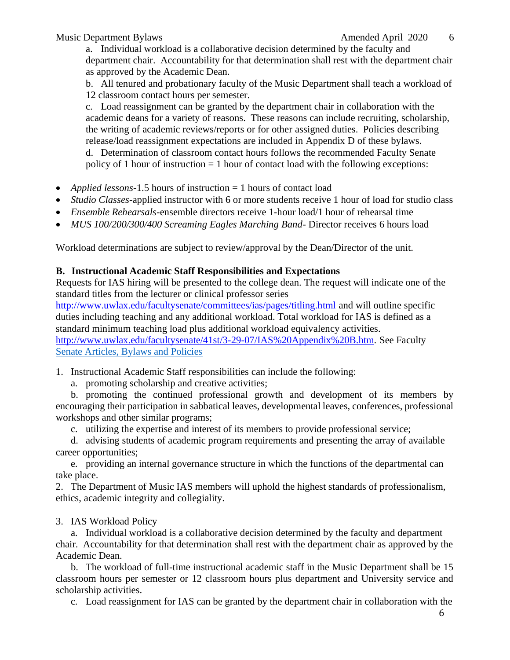a. Individual workload is a collaborative decision determined by the faculty and department chair. Accountability for that determination shall rest with the department chair as approved by the Academic Dean.

b. All tenured and probationary faculty of the Music Department shall teach a workload of 12 classroom contact hours per semester.

c. Load reassignment can be granted by the department chair in collaboration with the academic deans for a variety of reasons. These reasons can include recruiting, scholarship, the writing of academic reviews/reports or for other assigned duties. Policies describing release/load reassignment expectations are included in Appendix D of these bylaws.

d. Determination of classroom contact hours follows the recommended Faculty Senate policy of 1 hour of instruction  $= 1$  hour of contact load with the following exceptions:

- *Applied lessons*-1.5 hours of instruction = 1 hours of contact load
- *Studio Classes*-applied instructor with 6 or more students receive 1 hour of load for studio class
- *Ensemble Rehearsals*-ensemble directors receive 1-hour load/1 hour of rehearsal time
- *MUS 100/200/300/400 Screaming Eagles Marching Band* Director receives 6 hours load

Workload determinations are subject to review/approval by the Dean/Director of the unit.

#### **B. Instructional Academic Staff Responsibilities and Expectations**

Requests for IAS hiring will be presented to the college dean. The request will indicate one of the standard titles from the lecturer or clinical professor series

[http://www.uwlax.edu/facultysenate/committees/ias/pages/titling.html a](http://www.uwlax.edu/facultysenate/committees/ias/pages/titling.html)nd will outline specific duties including teaching and any additional workload. Total workload for IAS is defined as a standard minimum teaching load plus additional workload equivalency activities. [http://www.uwlax.edu/facultysenate/41st/3-29-07/IAS%20Appendix%20B.htm.](http://www.uwlax.edu/facultysenate/41st/3-29-07/IAS%20Appendix%20B.htm) See Faculty

[Senate Articles, Bylaws and Policies](https://drive.google.com/file/d/0B5olNNrU5bquTmdYZDRmcHl5UHM/view)

1. Instructional Academic Staff responsibilities can include the following:

a. promoting scholarship and creative activities;

b. promoting the continued professional growth and development of its members by encouraging their participation in sabbatical leaves, developmental leaves, conferences, professional workshops and other similar programs;

c. utilizing the expertise and interest of its members to provide professional service;

d. advising students of academic program requirements and presenting the array of available career opportunities;

e. providing an internal governance structure in which the functions of the departmental can take place.

2. The Department of Music IAS members will uphold the highest standards of professionalism, ethics, academic integrity and collegiality.

3. IAS Workload Policy

a. Individual workload is a collaborative decision determined by the faculty and department chair. Accountability for that determination shall rest with the department chair as approved by the Academic Dean.

b. The workload of full-time instructional academic staff in the Music Department shall be 15 classroom hours per semester or 12 classroom hours plus department and University service and scholarship activities.

c. Load reassignment for IAS can be granted by the department chair in collaboration with the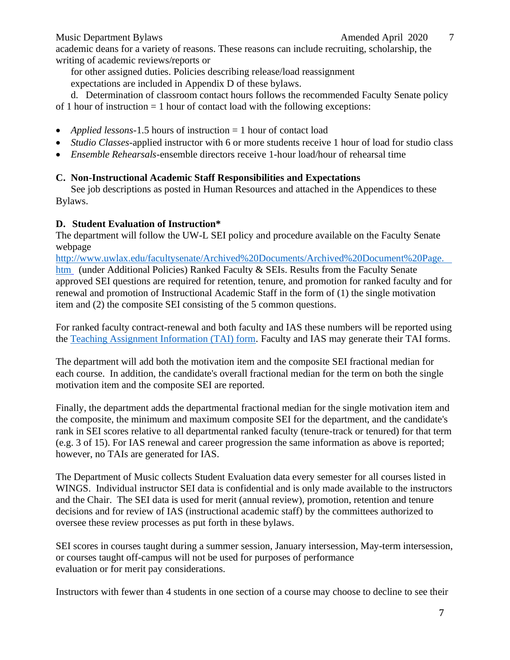academic deans for a variety of reasons. These reasons can include recruiting, scholarship, the writing of academic reviews/reports or

for other assigned duties. Policies describing release/load reassignment

expectations are included in Appendix D of these bylaws.

d. Determination of classroom contact hours follows the recommended Faculty Senate policy of 1 hour of instruction  $= 1$  hour of contact load with the following exceptions:

- *Applied lessons*-1.5 hours of instruction = 1 hour of contact load
- *Studio Classes*-applied instructor with 6 or more students receive 1 hour of load for studio class
- *Ensemble Rehearsals*-ensemble directors receive 1-hour load/hour of rehearsal time

## **C. Non-Instructional Academic Staff Responsibilities and Expectations**

See job descriptions as posted in Human Resources and attached in the Appendices to these Bylaws.

## **D. Student Evaluation of Instruction\***

The department will follow the UW-L SEI policy and procedure available on the Faculty Senate webpage

[http://www.uwlax.edu/facultysenate/Archived%20Documents/Archived%20Document%20Page.](http://www.uwlax.edu/facultysenate/Archived%20Documents/Archived%20Document%20Page.htm)  [htm](http://www.uwlax.edu/facultysenate/Archived%20Documents/Archived%20Document%20Page.htm) (under Additional Policies) Ranked Faculty & SEIs. Results from the Faculty Senate approved SEI questions are required for retention, tenure, and promotion for ranked faculty and for renewal and promotion of Instructional Academic Staff in the form of (1) the single motivation item and (2) the composite SEI consisting of the 5 common questions.

For ranked faculty contract-renewal and both faculty and IAS these numbers will be reported using the [Teaching Assignment Information \(TAI\) form.](https://www.uwlax.edu/globalassets/offices-services/academic-affairs/entering-tai-data-into-dm-2017.09.12.pdf) Faculty and IAS may generate their TAI forms.

The department will add both the motivation item and the composite SEI fractional median for each course. In addition, the candidate's overall fractional median for the term on both the single motivation item and the composite SEI are reported.

Finally, the department adds the departmental fractional median for the single motivation item and the composite, the minimum and maximum composite SEI for the department, and the candidate's rank in SEI scores relative to all departmental ranked faculty (tenure-track or tenured) for that term (e.g. 3 of 15). For IAS renewal and career progression the same information as above is reported; however, no TAIs are generated for IAS.

The Department of Music collects Student Evaluation data every semester for all courses listed in WINGS. Individual instructor SEI data is confidential and is only made available to the instructors and the Chair. The SEI data is used for merit (annual review), promotion, retention and tenure decisions and for review of IAS (instructional academic staff) by the committees authorized to oversee these review processes as put forth in these bylaws.

SEI scores in courses taught during a summer session, January intersession, May-term intersession, or courses taught off-campus will not be used for purposes of performance evaluation or for merit pay considerations.

Instructors with fewer than 4 students in one section of a course may choose to decline to see their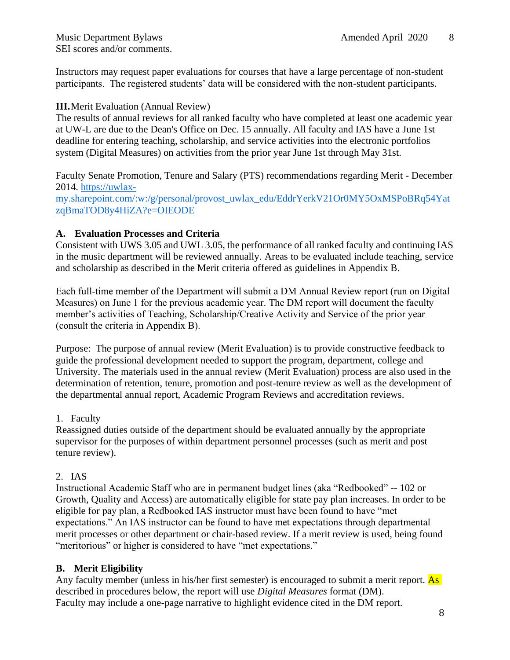<span id="page-7-0"></span>Instructors may request paper evaluations for courses that have a large percentage of non-student participants. The registered students' data will be considered with the non-student participants.

#### **III.**Merit Evaluation (Annual Review)

The results of annual reviews for all ranked faculty who have completed at least one academic year at UW-L are due to the Dean's Office on Dec. 15 annually. All faculty and IAS have a June 1st deadline for entering teaching, scholarship, and service activities into the electronic portfolios system (Digital Measures) on activities from the prior year June 1st through May 31st.

Faculty Senate Promotion, Tenure and Salary (PTS) recommendations regarding Merit - December 2014. [https://uwlax](https://uwlax-my.sharepoint.com/:w:/g/personal/provost_uwlax_edu/EddrYerkV21Or0MY5OxMSPoBRq54YatzqBmaTOD8y4HiZA?e=OIEODE)[my.sharepoint.com/:w:/g/personal/provost\\_uwlax\\_edu/EddrYerkV21Or0MY5OxMSPoBRq54Yat](https://uwlax-my.sharepoint.com/:w:/g/personal/provost_uwlax_edu/EddrYerkV21Or0MY5OxMSPoBRq54YatzqBmaTOD8y4HiZA?e=OIEODE) [zqBmaTOD8y4HiZA?e=OIEODE](https://uwlax-my.sharepoint.com/:w:/g/personal/provost_uwlax_edu/EddrYerkV21Or0MY5OxMSPoBRq54YatzqBmaTOD8y4HiZA?e=OIEODE)

#### **A. Evaluation Processes and Criteria**

Consistent with UWS 3.05 and UWL 3.05, the performance of all ranked faculty and continuing IAS in the music department will be reviewed annually. Areas to be evaluated include teaching, service and scholarship as described in the Merit criteria offered as guidelines in Appendix B.

Each full-time member of the Department will submit a DM Annual Review report (run on Digital Measures) on June 1 for the previous academic year. The DM report will document the faculty member's activities of Teaching, Scholarship/Creative Activity and Service of the prior year (consult the criteria in Appendix B).

Purpose: The purpose of annual review (Merit Evaluation) is to provide constructive feedback to guide the professional development needed to support the program, department, college and University. The materials used in the annual review (Merit Evaluation) process are also used in the determination of retention, tenure, promotion and post-tenure review as well as the development of the departmental annual report, Academic Program Reviews and accreditation reviews.

#### 1. Faculty

Reassigned duties outside of the department should be evaluated annually by the appropriate supervisor for the purposes of within department personnel processes (such as merit and post tenure review).

#### 2. IAS

Instructional Academic Staff who are in permanent budget lines (aka "Redbooked" -- 102 or Growth, Quality and Access) are automatically eligible for state pay plan increases. In order to be eligible for pay plan, a Redbooked IAS instructor must have been found to have "met expectations." An IAS instructor can be found to have met expectations through departmental merit processes or other department or chair-based review. If a merit review is used, being found "meritorious" or higher is considered to have "met expectations."

#### **B. Merit Eligibility**

Any faculty member (unless in his/her first semester) is encouraged to submit a merit report. As described in procedures below, the report will use *Digital Measures* format (DM). Faculty may include a one-page narrative to highlight evidence cited in the DM report.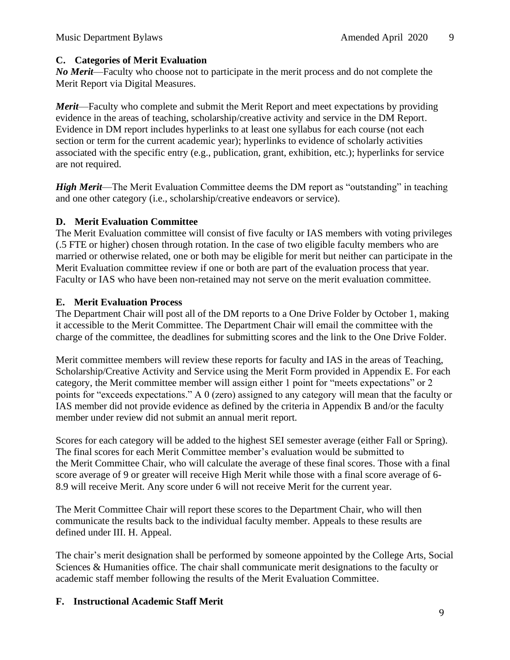#### **C. Categories of Merit Evaluation**

*No Merit*—Faculty who choose not to participate in the merit process and do not complete the Merit Report via Digital Measures.

*Merit*—Faculty who complete and submit the Merit Report and meet expectations by providing evidence in the areas of teaching, scholarship/creative activity and service in the DM Report. Evidence in DM report includes hyperlinks to at least one syllabus for each course (not each section or term for the current academic year); hyperlinks to evidence of scholarly activities associated with the specific entry (e.g., publication, grant, exhibition, etc.); hyperlinks for service are not required.

*High Merit*—The Merit Evaluation Committee deems the DM report as "outstanding" in teaching and one other category (i.e., scholarship/creative endeavors or service).

#### **D. Merit Evaluation Committee**

The Merit Evaluation committee will consist of five faculty or IAS members with voting privileges (.5 FTE or higher) chosen through rotation. In the case of two eligible faculty members who are married or otherwise related, one or both may be eligible for merit but neither can participate in the Merit Evaluation committee review if one or both are part of the evaluation process that year. Faculty or IAS who have been non-retained may not serve on the merit evaluation committee.

## **E. Merit Evaluation Process**

The Department Chair will post all of the DM reports to a One Drive Folder by October 1, making it accessible to the Merit Committee. The Department Chair will email the committee with the charge of the committee, the deadlines for submitting scores and the link to the One Drive Folder.

Merit committee members will review these reports for faculty and IAS in the areas of Teaching, Scholarship/Creative Activity and Service using the Merit Form provided in Appendix E. For each category, the Merit committee member will assign either 1 point for "meets expectations" or 2 points for "exceeds expectations." A 0 (zero) assigned to any category will mean that the faculty or IAS member did not provide evidence as defined by the criteria in Appendix B and/or the faculty member under review did not submit an annual merit report.

Scores for each category will be added to the highest SEI semester average (either Fall or Spring). The final scores for each Merit Committee member's evaluation would be submitted to the Merit Committee Chair, who will calculate the average of these final scores. Those with a final score average of 9 or greater will receive High Merit while those with a final score average of 6- 8.9 will receive Merit. Any score under 6 will not receive Merit for the current year.

The Merit Committee Chair will report these scores to the Department Chair, who will then communicate the results back to the individual faculty member. Appeals to these results are defined under III. H. Appeal.

The chair's merit designation shall be performed by someone appointed by the College Arts, Social Sciences & Humanities office. The chair shall communicate merit designations to the faculty or academic staff member following the results of the Merit Evaluation Committee.

## **F. Instructional Academic Staff Merit**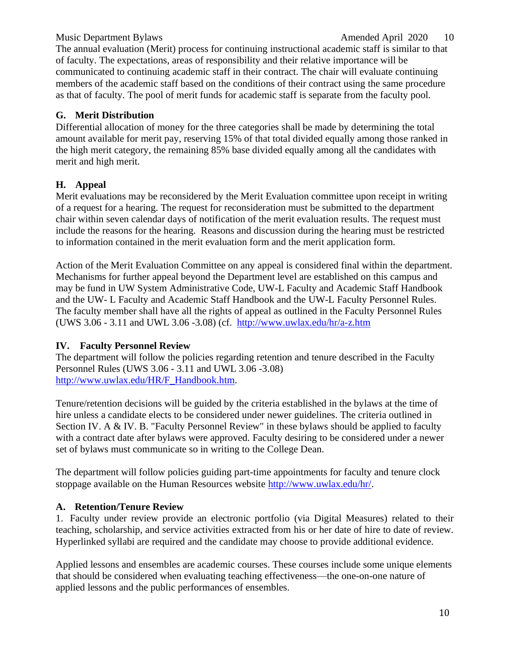#### Music Department Bylaws and the contract of the Amended April 2020 10

The annual evaluation (Merit) process for continuing instructional academic staff is similar to that of faculty. The expectations, areas of responsibility and their relative importance will be communicated to continuing academic staff in their contract. The chair will evaluate continuing members of the academic staff based on the conditions of their contract using the same procedure as that of faculty. The pool of merit funds for academic staff is separate from the faculty pool.

#### **G. Merit Distribution**

Differential allocation of money for the three categories shall be made by determining the total amount available for merit pay, reserving 15% of that total divided equally among those ranked in the high merit category, the remaining 85% base divided equally among all the candidates with merit and high merit.

#### **H. Appeal**

Merit evaluations may be reconsidered by the Merit Evaluation committee upon receipt in writing of a request for a hearing. The request for reconsideration must be submitted to the department chair within seven calendar days of notification of the merit evaluation results. The request must include the reasons for the hearing. Reasons and discussion during the hearing must be restricted to information contained in the merit evaluation form and the merit application form.

Action of the Merit Evaluation Committee on any appeal is considered final within the department. Mechanisms for further appeal beyond the Department level are established on this campus and may be fund in UW System Administrative Code, UW-L Faculty and Academic Staff Handbook and the UW- L Faculty and Academic Staff Handbook and the UW-L Faculty Personnel Rules. The faculty member shall have all the rights of appeal as outlined in the Faculty Personnel Rules (UWS 3.06 - 3.11 and UWL 3.06 -3.08) (cf. <http://www.uwlax.edu/hr/a-z.htm>

#### <span id="page-9-0"></span>**IV. Faculty Personnel Review**

The department will follow the policies regarding retention and tenure described in the Faculty Personnel Rules (UWS 3.06 - 3.11 and UWL 3.06 -3.08) [http://www.uwlax.edu/HR/F\\_Handbook.htm.](http://www.uwlax.edu/hr/rules/Ch3.htm)

Tenure/retention decisions will be guided by the criteria established in the bylaws at the time of hire unless a candidate elects to be considered under newer guidelines. The criteria outlined in Section IV. A & IV. B. "Faculty Personnel Review" in these bylaws should be applied to faculty with a contract date after bylaws were approved. Faculty desiring to be considered under a newer set of bylaws must communicate so in writing to the College Dean.

The department will follow policies guiding part-time appointments for faculty and tenure clock stoppage available on the Human Resources website [http://www.uwlax.edu/hr/.](http://www.uwlax.edu/hr/)

## **A. Retention/Tenure Review**

1. Faculty under review provide an electronic portfolio (via Digital Measures) related to their teaching, scholarship, and service activities extracted from his or her date of hire to date of review. Hyperlinked syllabi are required and the candidate may choose to provide additional evidence.

Applied lessons and ensembles are academic courses. These courses include some unique elements that should be considered when evaluating teaching effectiveness—the one-on-one nature of applied lessons and the public performances of ensembles.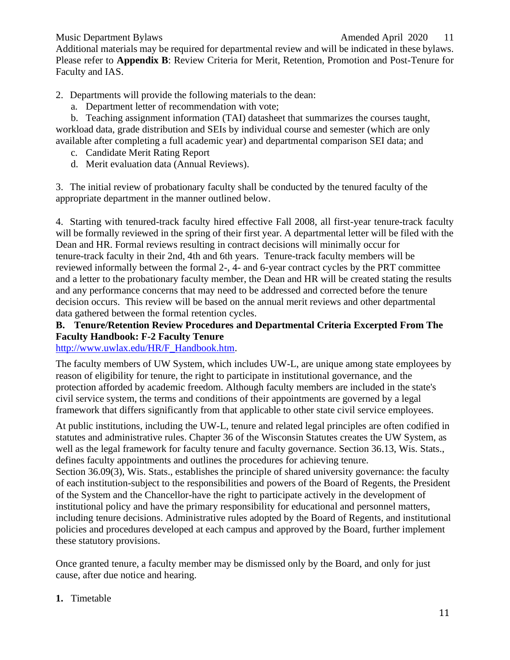Additional materials may be required for departmental review and will be indicated in these bylaws. Please refer to **Appendix B**: Review Criteria for Merit, Retention, Promotion and Post-Tenure for Faculty and IAS.

2. Departments will provide the following materials to the dean:

a. Department letter of recommendation with vote;

b. Teaching assignment information (TAI) datasheet that summarizes the courses taught, workload data, grade distribution and SEIs by individual course and semester (which are only available after completing a full academic year) and departmental comparison SEI data; and

- c. Candidate Merit Rating Report
- d. Merit evaluation data (Annual Reviews).

3. The initial review of probationary faculty shall be conducted by the tenured faculty of the appropriate department in the manner outlined below.

4. Starting with tenured-track faculty hired effective Fall 2008, all first-year tenure-track faculty will be formally reviewed in the spring of their first year. A departmental letter will be filed with the Dean and HR. Formal reviews resulting in contract decisions will minimally occur for tenure-track faculty in their 2nd, 4th and 6th years. Tenure-track faculty members will be reviewed informally between the formal 2-, 4- and 6-year contract cycles by the PRT committee and a letter to the probationary faculty member, the Dean and HR will be created stating the results and any performance concerns that may need to be addressed and corrected before the tenure decision occurs. This review will be based on the annual merit reviews and other departmental data gathered between the formal retention cycles.

## **B. Tenure/Retention Review Procedures and Departmental Criteria Excerpted From The Faculty Handbook: F-2 Faculty Tenure**

[http://www.uwlax.edu/HR/F\\_Handbook.htm.](http://www.uwlax.edu/HR/F_Handbook.htm)

The faculty members of UW System, which includes UW-L, are unique among state employees by reason of eligibility for tenure, the right to participate in institutional governance, and the protection afforded by academic freedom. Although faculty members are included in the state's civil service system, the terms and conditions of their appointments are governed by a legal framework that differs significantly from that applicable to other state civil service employees.

At public institutions, including the UW-L, tenure and related legal principles are often codified in statutes and administrative rules. Chapter 36 of the Wisconsin Statutes creates the UW System, as well as the legal framework for faculty tenure and faculty governance. Section 36.13, Wis. Stats., defines faculty appointments and outlines the procedures for achieving tenure.

Section 36.09(3), Wis. Stats., establishes the principle of shared university governance: the faculty of each institution-subject to the responsibilities and powers of the Board of Regents, the President of the System and the Chancellor-have the right to participate actively in the development of institutional policy and have the primary responsibility for educational and personnel matters, including tenure decisions. Administrative rules adopted by the Board of Regents, and institutional policies and procedures developed at each campus and approved by the Board, further implement these statutory provisions.

Once granted tenure, a faculty member may be dismissed only by the Board, and only for just cause, after due notice and hearing.

**1.** Timetable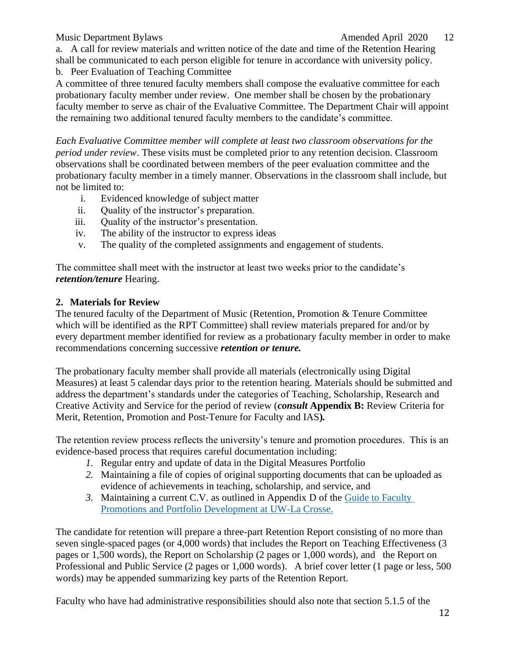#### Music Department Bylaws **Amended April 2020** 12

a. A call for review materials and written notice of the date and time of the Retention Hearing shall be communicated to each person eligible for tenure in accordance with university policy.

b. Peer Evaluation of Teaching Committee

A committee of three tenured faculty members shall compose the evaluative committee for each probationary faculty member under review. One member shall be chosen by the probationary faculty member to serve as chair of the Evaluative Committee. The Department Chair will appoint the remaining two additional tenured faculty members to the candidate's committee.

*Each Evaluative Committee member will complete at least two classroom observations for the period under review*. These visits must be completed prior to any retention decision. Classroom observations shall be coordinated between members of the peer evaluation committee and the probationary faculty member in a timely manner. Observations in the classroom shall include, but not be limited to:

- i. Evidenced knowledge of subject matter
- ii. Quality of the instructor's preparation.
- iii. Quality of the instructor's presentation.
- iv. The ability of the instructor to express ideas
- v. The quality of the completed assignments and engagement of students.

The committee shall meet with the instructor at least two weeks prior to the candidate's *retention/tenure* Hearing.

#### **2. Materials for Review**

The tenured faculty of the Department of Music (Retention, Promotion & Tenure Committee which will be identified as the RPT Committee) shall review materials prepared for and/or by every department member identified for review as a probationary faculty member in order to make recommendations concerning successive *retention or tenure.*

The probationary faculty member shall provide all materials (electronically using Digital Measures) at least 5 calendar days prior to the retention hearing. Materials should be submitted and address the department's standards under the categories of Teaching, Scholarship, Research and Creative Activity and Service for the period of review (*consult* **Appendix B:** Review Criteria for Merit, Retention, Promotion and Post-Tenure for Faculty and IAS**)***.*

The retention review process reflects the university's tenure and promotion procedures. This is an evidence-based process that requires careful documentation including:

- *1.* Regular entry and update of data in the Digital Measures Portfolio
- *2.* Maintaining a file of copies of original supporting documents that can be uploaded as evidence of achievements in teaching, scholarship, and service, and
- *3.* Maintaining a current C.V. as outlined in Appendix D of the [Guide to Faculty](https://www.uwlax.edu/globalassets/offices-services/human-resources/jpc-guide-to-faculty-promotions.pdf)  [Promotions and Portfolio Development at UW-La Crosse.](https://www.uwlax.edu/globalassets/offices-services/human-resources/jpc-guide-to-faculty-promotions.pdf)

The candidate for retention will prepare a three-part Retention Report consisting of no more than seven single-spaced pages (or 4,000 words) that includes the Report on Teaching Effectiveness (3 pages or 1,500 words), the Report on Scholarship (2 pages or 1,000 words), and the Report on Professional and Public Service (2 pages or 1,000 words). A brief cover letter (1 page or less, 500 words) may be appended summarizing key parts of the Retention Report.

Faculty who have had administrative responsibilities should also note that section 5.1.5 of the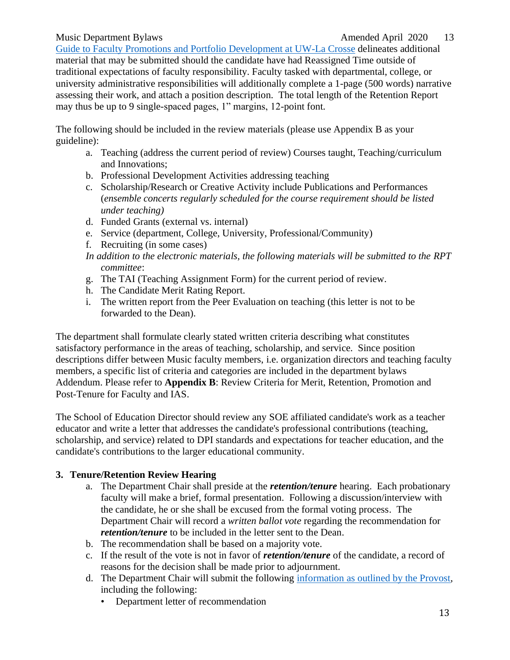[Guide to Faculty Promotions and Portfolio Development at UW-La Crosse](https://www.uwlax.edu/globalassets/offices-services/human-resources/jpc-guide-to-faculty-promotions.pdf) delineates additional material that may be submitted should the candidate have had Reassigned Time outside of traditional expectations of faculty responsibility. Faculty tasked with departmental, college, or university administrative responsibilities will additionally complete a 1-page (500 words) narrative assessing their work, and attach a position description. The total length of the Retention Report may thus be up to 9 single-spaced pages, 1" margins, 12-point font.

The following should be included in the review materials (please use Appendix B as your guideline):

- a. Teaching (address the current period of review) Courses taught, Teaching/curriculum and Innovations;
- b. Professional Development Activities addressing teaching
- c. Scholarship/Research or Creative Activity include Publications and Performances (*ensemble concerts regularly scheduled for the course requirement should be listed under teaching)*
- d. Funded Grants (external vs. internal)
- e. Service (department, College, University, Professional/Community)
- f. Recruiting (in some cases)
- *In addition to the electronic materials, the following materials will be submitted to the RPT committee*:
- g. The TAI (Teaching Assignment Form) for the current period of review.
- h. The Candidate Merit Rating Report.
- i. The written report from the Peer Evaluation on teaching (this letter is not to be forwarded to the Dean).

The department shall formulate clearly stated written criteria describing what constitutes satisfactory performance in the areas of teaching, scholarship, and service. Since position descriptions differ between Music faculty members, i.e. organization directors and teaching faculty members, a specific list of criteria and categories are included in the department bylaws Addendum. Please refer to **Appendix B**: Review Criteria for Merit, Retention, Promotion and Post-Tenure for Faculty and IAS.

The School of Education Director should review any SOE affiliated candidate's work as a teacher educator and write a letter that addresses the candidate's professional contributions (teaching, scholarship, and service) related to DPI standards and expectations for teacher education, and the candidate's contributions to the larger educational community.

## **3. Tenure/Retention Review Hearing**

- a. The Department Chair shall preside at the *retention/tenure* hearing. Each probationary faculty will make a brief, formal presentation. Following a discussion/interview with the candidate, he or she shall be excused from the formal voting process. The Department Chair will record a *written ballot vote* regarding the recommendation for *retention/tenure* to be included in the letter sent to the Dean.
- b. The recommendation shall be based on a majority vote.
- c. If the result of the vote is not in favor of *retention/tenure* of the candidate, a record of reasons for the decision shall be made prior to adjournment.
- d. The Department Chair will submit the following [information as outlined by the Provost,](https://www.uwlax.edu/academic-affairs/retention-at-uwl/) including the following:
	- Department letter of recommendation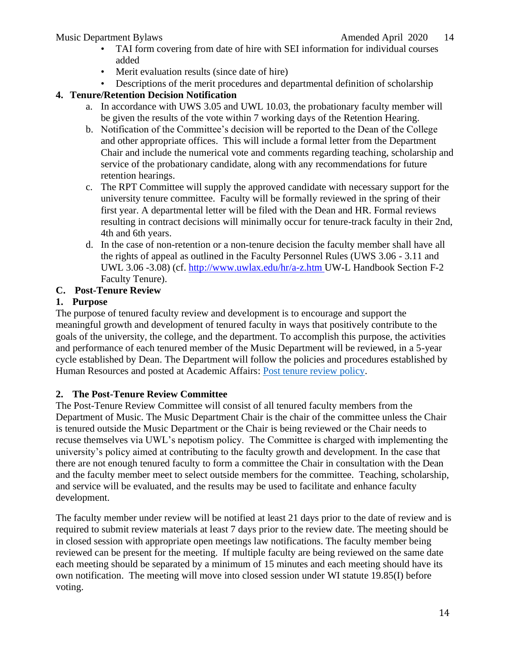- TAI form covering from date of hire with SEI information for individual courses added
- Merit evaluation results (since date of hire)
- Descriptions of the merit procedures and departmental definition of scholarship

## **4. Tenure/Retention Decision Notification**

- a. In accordance with UWS 3.05 and UWL 10.03, the probationary faculty member will be given the results of the vote within 7 working days of the Retention Hearing.
- b. Notification of the Committee's decision will be reported to the Dean of the College and other appropriate offices. This will include a formal letter from the Department Chair and include the numerical vote and comments regarding teaching, scholarship and service of the probationary candidate, along with any recommendations for future retention hearings.
- c. The RPT Committee will supply the approved candidate with necessary support for the university tenure committee. Faculty will be formally reviewed in the spring of their first year. A departmental letter will be filed with the Dean and HR. Formal reviews resulting in contract decisions will minimally occur for tenure-track faculty in their 2nd, 4th and 6th years.
- d. In the case of non-retention or a non-tenure decision the faculty member shall have all the rights of appeal as outlined in the Faculty Personnel Rules (UWS 3.06 - 3.11 and UWL 3.06 -3.08) (cf. [http://www.uwlax.edu/hr/a-z.htm U](http://www.uwlax.edu/hr/a-z.htm)W-L Handbook Section F-2 Faculty Tenure).

## **C. Post-Tenure Review**

## **1. Purpose**

The purpose of tenured faculty review and development is to encourage and support the meaningful growth and development of tenured faculty in ways that positively contribute to the goals of the university, the college, and the department. To accomplish this purpose, the activities and performance of each tenured member of the Music Department will be reviewed, in a 5-year cycle established by Dean. The Department will follow the policies and procedures established by Human Resources and posted at Academic Affairs: [Post tenure review policy.](https://www.uwlax.edu/human-resources/post-tenure-review-policy/)

## **2. The Post-Tenure Review Committee**

The Post-Tenure Review Committee will consist of all tenured faculty members from the Department of Music. The Music Department Chair is the chair of the committee unless the Chair is tenured outside the Music Department or the Chair is being reviewed or the Chair needs to recuse themselves via UWL's nepotism policy. The Committee is charged with implementing the university's policy aimed at contributing to the faculty growth and development. In the case that there are not enough tenured faculty to form a committee the Chair in consultation with the Dean and the faculty member meet to select outside members for the committee. Teaching, scholarship, and service will be evaluated, and the results may be used to facilitate and enhance faculty development.

The faculty member under review will be notified at least 21 days prior to the date of review and is required to submit review materials at least 7 days prior to the review date. The meeting should be in closed session with appropriate open meetings law notifications. The faculty member being reviewed can be present for the meeting. If multiple faculty are being reviewed on the same date each meeting should be separated by a minimum of 15 minutes and each meeting should have its own notification. The meeting will move into closed session under WI statute 19.85(I) before voting.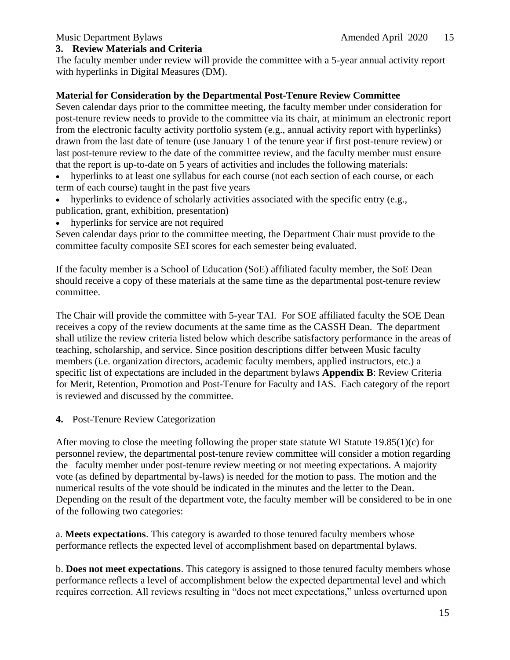#### **3. Review Materials and Criteria**

The faculty member under review will provide the committee with a 5-year annual activity report with hyperlinks in Digital Measures (DM).

#### **Material for Consideration by the Departmental Post-Tenure Review Committee**

Seven calendar days prior to the committee meeting, the faculty member under consideration for post-tenure review needs to provide to the committee via its chair, at minimum an electronic report from the electronic faculty activity portfolio system (e.g., annual activity report with hyperlinks) drawn from the last date of tenure (use January 1 of the tenure year if first post-tenure review) or last post-tenure review to the date of the committee review, and the faculty member must ensure that the report is up-to-date on 5 years of activities and includes the following materials:

• hyperlinks to at least one syllabus for each course (not each section of each course, or each term of each course) taught in the past five years

- hyperlinks to evidence of scholarly activities associated with the specific entry (e.g., publication, grant, exhibition, presentation)
- hyperlinks for service are not required

Seven calendar days prior to the committee meeting, the Department Chair must provide to the committee faculty composite SEI scores for each semester being evaluated.

If the faculty member is a School of Education (SoE) affiliated faculty member, the SoE Dean should receive a copy of these materials at the same time as the departmental post-tenure review committee.

The Chair will provide the committee with 5-year TAI. For SOE affiliated faculty the SOE Dean receives a copy of the review documents at the same time as the CASSH Dean. The department shall utilize the review criteria listed below which describe satisfactory performance in the areas of teaching, scholarship, and service. Since position descriptions differ between Music faculty members (i.e. organization directors, academic faculty members, applied instructors, etc.) a specific list of expectations are included in the department bylaws **Appendix B**: Review Criteria for Merit, Retention, Promotion and Post-Tenure for Faculty and IAS. Each category of the report is reviewed and discussed by the committee.

#### **4.** Post-Tenure Review Categorization

After moving to close the meeting following the proper state statute WI Statute 19.85(1)(c) for personnel review, the departmental post-tenure review committee will consider a motion regarding the faculty member under post-tenure review meeting or not meeting expectations. A majority vote (as defined by departmental by-laws) is needed for the motion to pass. The motion and the numerical results of the vote should be indicated in the minutes and the letter to the Dean. Depending on the result of the department vote, the faculty member will be considered to be in one of the following two categories:

a. **Meets expectations**. This category is awarded to those tenured faculty members whose performance reflects the expected level of accomplishment based on departmental bylaws.

b. **Does not meet expectations**. This category is assigned to those tenured faculty members whose performance reflects a level of accomplishment below the expected departmental level and which requires correction. All reviews resulting in "does not meet expectations," unless overturned upon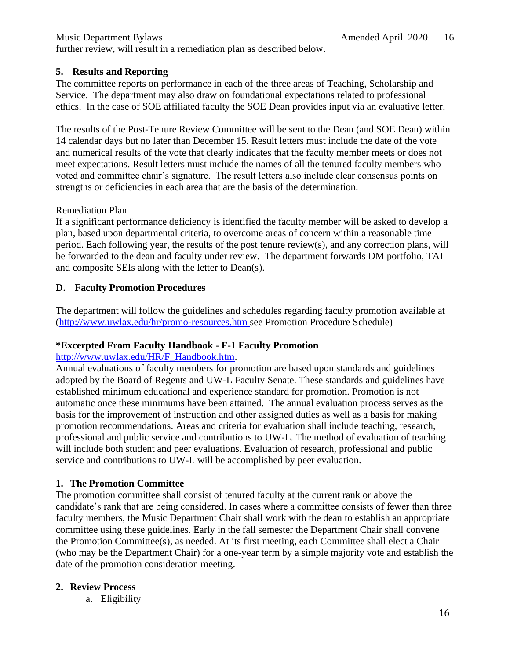further review, will result in a remediation plan as described below.

#### **5. Results and Reporting**

The committee reports on performance in each of the three areas of Teaching, Scholarship and Service. The department may also draw on foundational expectations related to professional ethics. In the case of SOE affiliated faculty the SOE Dean provides input via an evaluative letter.

The results of the Post-Tenure Review Committee will be sent to the Dean (and SOE Dean) within 14 calendar days but no later than December 15. Result letters must include the date of the vote and numerical results of the vote that clearly indicates that the faculty member meets or does not meet expectations. Result letters must include the names of all the tenured faculty members who voted and committee chair's signature. The result letters also include clear consensus points on strengths or deficiencies in each area that are the basis of the determination.

#### Remediation Plan

If a significant performance deficiency is identified the faculty member will be asked to develop a plan, based upon departmental criteria, to overcome areas of concern within a reasonable time period. Each following year, the results of the post tenure review(s), and any correction plans, will be forwarded to the dean and faculty under review. The department forwards DM portfolio, TAI and composite SEIs along with the letter to Dean(s).

#### **D. Faculty Promotion Procedures**

The department will follow the guidelines and schedules regarding faculty promotion available at [\(http://www.uwlax.edu/hr/promo-resources.htm s](http://www.uwlax.edu/hr/promo-resources.htm)ee Promotion Procedure Schedule)

#### **\*Excerpted From Faculty Handbook - F-1 Faculty Promotion**

#### [http://www.uwlax.edu/HR/F\\_Handbook.htm.](http://www.uwlax.edu/HR/F_Handbook.htm)

Annual evaluations of faculty members for promotion are based upon standards and guidelines adopted by the Board of Regents and UW-L Faculty Senate. These standards and guidelines have established minimum educational and experience standard for promotion. Promotion is not automatic once these minimums have been attained. The annual evaluation process serves as the basis for the improvement of instruction and other assigned duties as well as a basis for making promotion recommendations. Areas and criteria for evaluation shall include teaching, research, professional and public service and contributions to UW-L. The method of evaluation of teaching will include both student and peer evaluations. Evaluation of research, professional and public service and contributions to UW-L will be accomplished by peer evaluation.

#### **1. The Promotion Committee**

The promotion committee shall consist of tenured faculty at the current rank or above the candidate's rank that are being considered. In cases where a committee consists of fewer than three faculty members, the Music Department Chair shall work with the dean to establish an appropriate committee using these guidelines. Early in the fall semester the Department Chair shall convene the Promotion Committee(s), as needed. At its first meeting, each Committee shall elect a Chair (who may be the Department Chair) for a one-year term by a simple majority vote and establish the date of the promotion consideration meeting.

#### **2. Review Process**

a. Eligibility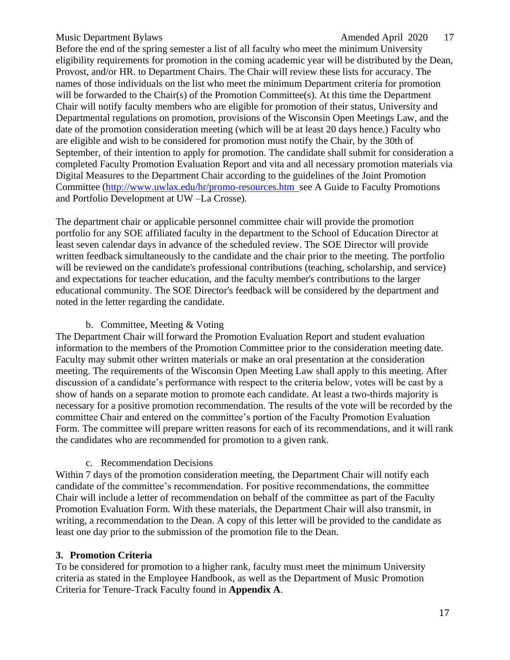Before the end of the spring semester a list of all faculty who meet the minimum University eligibility requirements for promotion in the coming academic year will be distributed by the Dean, Provost, and/or HR. to Department Chairs. The Chair will review these lists for accuracy. The names of those individuals on the list who meet the minimum Department criteria for promotion will be forwarded to the Chair(s) of the Promotion Committee(s). At this time the Department Chair will notify faculty members who are eligible for promotion of their status, University and Departmental regulations on promotion, provisions of the Wisconsin Open Meetings Law, and the date of the promotion consideration meeting (which will be at least 20 days hence.) Faculty who are eligible and wish to be considered for promotion must notify the Chair, by the 30th of September, of their intention to apply for promotion. The candidate shall submit for consideration a completed Faculty Promotion Evaluation Report and vita and all necessary promotion materials via Digital Measures to the Department Chair according to the guidelines of the Joint Promotion Committee [\(http://www.uwlax.edu/hr/promo-resources.htm s](http://www.uwlax.edu/hr/promo-resources.htm)ee A Guide to Faculty Promotions and Portfolio Development at UW –La Crosse).

The department chair or applicable personnel committee chair will provide the promotion portfolio for any SOE affiliated faculty in the department to the School of Education Director at least seven calendar days in advance of the scheduled review. The SOE Director will provide written feedback simultaneously to the candidate and the chair prior to the meeting. The portfolio will be reviewed on the candidate's professional contributions (teaching, scholarship, and service) and expectations for teacher education, and the faculty member's contributions to the larger educational community. The SOE Director's feedback will be considered by the department and noted in the letter regarding the candidate.

#### b. Committee, Meeting & Voting

The Department Chair will forward the Promotion Evaluation Report and student evaluation information to the members of the Promotion Committee prior to the consideration meeting date. Faculty may submit other written materials or make an oral presentation at the consideration meeting. The requirements of the Wisconsin Open Meeting Law shall apply to this meeting. After discussion of a candidate's performance with respect to the criteria below, votes will be cast by a show of hands on a separate motion to promote each candidate. At least a two-thirds majority is necessary for a positive promotion recommendation. The results of the vote will be recorded by the committee Chair and entered on the committee's portion of the Faculty Promotion Evaluation Form. The committee will prepare written reasons for each of its recommendations, and it will rank the candidates who are recommended for promotion to a given rank.

#### c. Recommendation Decisions

Within 7 days of the promotion consideration meeting, the Department Chair will notify each candidate of the committee's recommendation. For positive recommendations, the committee Chair will include a letter of recommendation on behalf of the committee as part of the Faculty Promotion Evaluation Form. With these materials, the Department Chair will also transmit, in writing, a recommendation to the Dean. A copy of this letter will be provided to the candidate as least one day prior to the submission of the promotion file to the Dean.

#### **3. Promotion Criteria**

To be considered for promotion to a higher rank, faculty must meet the minimum University criteria as stated in the Employee Handbook, as well as the Department of Music Promotion Criteria for Tenure-Track Faculty found in **Appendix A**.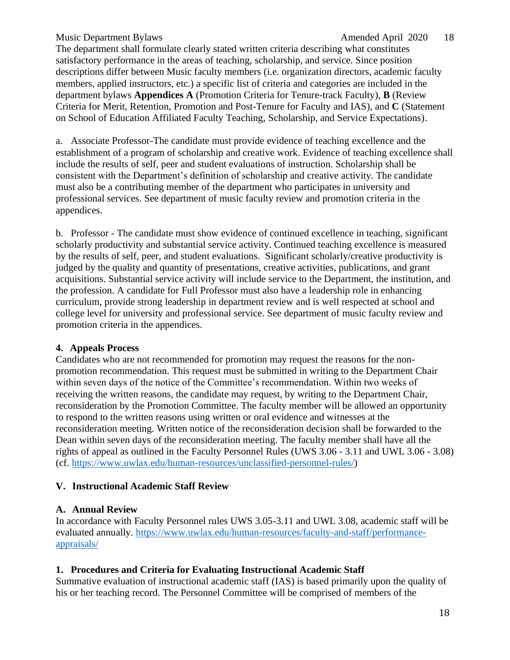#### Music Department Bylaws and the contract of the Amended April 2020 18

The department shall formulate clearly stated written criteria describing what constitutes satisfactory performance in the areas of teaching, scholarship, and service. Since position descriptions differ between Music faculty members (i.e. organization directors, academic faculty members, applied instructors, etc.) a specific list of criteria and categories are included in the department bylaws **Appendices A** (Promotion Criteria for Tenure-track Faculty), **B** (Review Criteria for Merit, Retention, Promotion and Post-Tenure for Faculty and IAS), and **C** (Statement on School of Education Affiliated Faculty Teaching, Scholarship, and Service Expectations).

a. Associate Professor-The candidate must provide evidence of teaching excellence and the establishment of a program of scholarship and creative work. Evidence of teaching excellence shall include the results of self, peer and student evaluations of instruction. Scholarship shall be consistent with the Department's definition of scholarship and creative activity. The candidate must also be a contributing member of the department who participates in university and professional services. See department of music faculty review and promotion criteria in the appendices.

b. Professor - The candidate must show evidence of continued excellence in teaching, significant scholarly productivity and substantial service activity. Continued teaching excellence is measured by the results of self, peer, and student evaluations. Significant scholarly/creative productivity is judged by the quality and quantity of presentations, creative activities, publications, and grant acquisitions. Substantial service activity will include service to the Department, the institution, and the profession. A candidate for Full Professor must also have a leadership role in enhancing curriculum, provide strong leadership in department review and is well respected at school and college level for university and professional service. See department of music faculty review and promotion criteria in the appendices.

#### **4. Appeals Process**

Candidates who are not recommended for promotion may request the reasons for the nonpromotion recommendation. This request must be submitted in writing to the Department Chair within seven days of the notice of the Committee's recommendation. Within two weeks of receiving the written reasons, the candidate may request, by writing to the Department Chair, reconsideration by the Promotion Committee. The faculty member will be allowed an opportunity to respond to the written reasons using written or oral evidence and witnesses at the reconsideration meeting. Written notice of the reconsideration decision shall be forwarded to the Dean within seven days of the reconsideration meeting. The faculty member shall have all the rights of appeal as outlined in the Faculty Personnel Rules (UWS 3.06 - 3.11 and UWL 3.06 - 3.08) (cf. [https://www.uwlax.edu/human-resources/unclassified-personnel-rules/\)](https://www.uwlax.edu/human-resources/unclassified-personnel-rules/)

#### <span id="page-17-0"></span>**V. Instructional Academic Staff Review**

#### **A. Annual Review**

In accordance with Faculty Personnel rules UWS 3.05-3.11 and UWL 3.08, academic staff will be evaluated annually. [https://www.uwlax.edu/human-resources/faculty-and-staff/performance](https://www.uwlax.edu/human-resources/faculty-and-staff/performance-appraisals/)[appraisals/](https://www.uwlax.edu/human-resources/faculty-and-staff/performance-appraisals/)

#### **1. Procedures and Criteria for Evaluating Instructional Academic Staff**

Summative evaluation of instructional academic staff (IAS) is based primarily upon the quality of his or her teaching record. The Personnel Committee will be comprised of members of the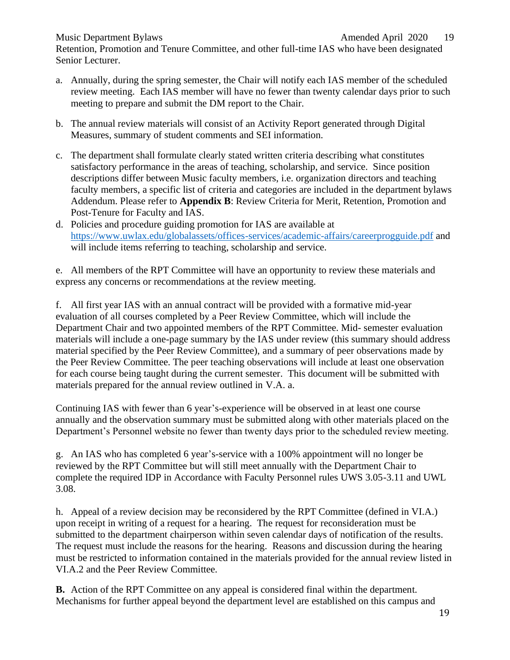Retention, Promotion and Tenure Committee, and other full-time IAS who have been designated Senior Lecturer.

- a. Annually, during the spring semester, the Chair will notify each IAS member of the scheduled review meeting. Each IAS member will have no fewer than twenty calendar days prior to such meeting to prepare and submit the DM report to the Chair.
- b. The annual review materials will consist of an Activity Report generated through Digital Measures, summary of student comments and SEI information.
- c. The department shall formulate clearly stated written criteria describing what constitutes satisfactory performance in the areas of teaching, scholarship, and service. Since position descriptions differ between Music faculty members, i.e. organization directors and teaching faculty members, a specific list of criteria and categories are included in the department bylaws Addendum. Please refer to **Appendix B**: Review Criteria for Merit, Retention, Promotion and Post-Tenure for Faculty and IAS.
- d. Policies and procedure guiding promotion for IAS are available at <https://www.uwlax.edu/globalassets/offices-services/academic-affairs/careerprogguide.pdf> and will include items referring to teaching, scholarship and service.

e. All members of the RPT Committee will have an opportunity to review these materials and express any concerns or recommendations at the review meeting.

f. All first year IAS with an annual contract will be provided with a formative mid-year evaluation of all courses completed by a Peer Review Committee, which will include the Department Chair and two appointed members of the RPT Committee. Mid- semester evaluation materials will include a one-page summary by the IAS under review (this summary should address material specified by the Peer Review Committee), and a summary of peer observations made by the Peer Review Committee. The peer teaching observations will include at least one observation for each course being taught during the current semester. This document will be submitted with materials prepared for the annual review outlined in V.A. a.

Continuing IAS with fewer than 6 year's-experience will be observed in at least one course annually and the observation summary must be submitted along with other materials placed on the Department's Personnel website no fewer than twenty days prior to the scheduled review meeting.

g. An IAS who has completed 6 year's-service with a 100% appointment will no longer be reviewed by the RPT Committee but will still meet annually with the Department Chair to complete the required IDP in Accordance with Faculty Personnel rules UWS 3.05-3.11 and UWL 3.08.

h. Appeal of a review decision may be reconsidered by the RPT Committee (defined in VI.A.) upon receipt in writing of a request for a hearing. The request for reconsideration must be submitted to the department chairperson within seven calendar days of notification of the results. The request must include the reasons for the hearing. Reasons and discussion during the hearing must be restricted to information contained in the materials provided for the annual review listed in VI.A.2 and the Peer Review Committee.

**B.** Action of the RPT Committee on any appeal is considered final within the department. Mechanisms for further appeal beyond the department level are established on this campus and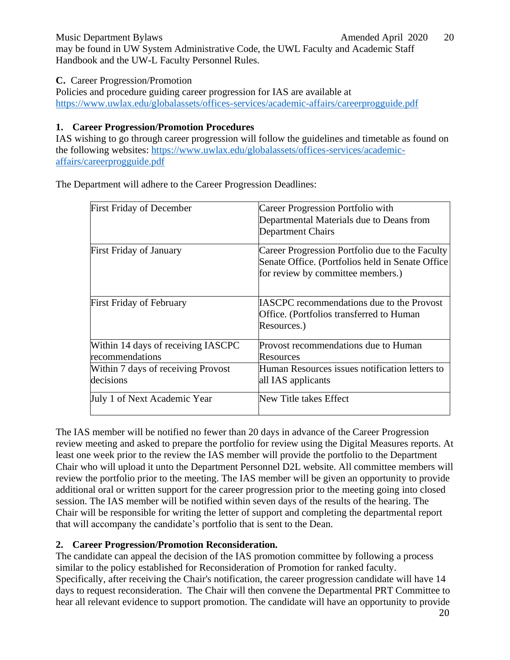Music Department Bylaws **Amended April 2020** 20 may be found in UW System Administrative Code, the UWL Faculty and Academic Staff Handbook and the UW-L Faculty Personnel Rules.

**C.** Career Progression/Promotion

Policies and procedure guiding career progression for IAS are available at <https://www.uwlax.edu/globalassets/offices-services/academic-affairs/careerprogguide.pdf>

## **1. Career Progression/Promotion Procedures**

IAS wishing to go through career progression will follow the guidelines and timetable as found on the following websites: [https://www.uwlax.edu/globalassets/offices-services/academic](https://www.uwlax.edu/globalassets/offices-services/academic-affairs/careerprogguide.pdf)[affairs/careerprogguide.pdf](https://www.uwlax.edu/globalassets/offices-services/academic-affairs/careerprogguide.pdf)

First Friday of December Career Progression Portfolio with Departmental Materials due to Deans from Department Chairs First Friday of January Career Progression Portfolio due to the Faculty Senate Office. (Portfolios held in Senate Office for review by committee members.) First Friday of February **IASCPC** recommendations due to the Provost Office. (Portfolios transferred to Human Resources.) Within 14 days of receiving IASCPC recommendations Provost recommendations due to Human Resources Within 7 days of receiving Provost decisions Human Resources issues notification letters to all IAS applicants July 1 of Next Academic Year New Title takes Effect

The Department will adhere to the Career Progression Deadlines:

The IAS member will be notified no fewer than 20 days in advance of the Career Progression review meeting and asked to prepare the portfolio for review using the Digital Measures reports. At least one week prior to the review the IAS member will provide the portfolio to the Department Chair who will upload it unto the Department Personnel D2L website. All committee members will review the portfolio prior to the meeting. The IAS member will be given an opportunity to provide additional oral or written support for the career progression prior to the meeting going into closed session. The IAS member will be notified within seven days of the results of the hearing. The Chair will be responsible for writing the letter of support and completing the departmental report that will accompany the candidate's portfolio that is sent to the Dean.

## **2. Career Progression/Promotion Reconsideration***.*

The candidate can appeal the decision of the IAS promotion committee by following a process similar to the policy established for Reconsideration of Promotion for ranked faculty. Specifically, after receiving the Chair's notification, the career progression candidate will have 14 days to request reconsideration. The Chair will then convene the Departmental PRT Committee to hear all relevant evidence to support promotion. The candidate will have an opportunity to provide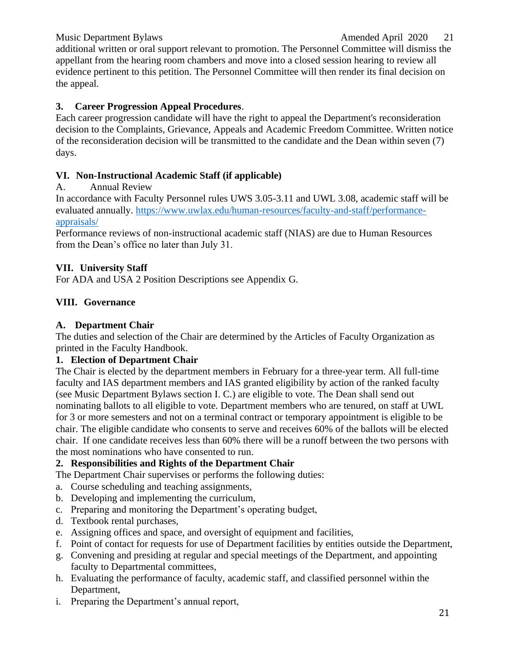## Music Department Bylaws **Amended April 2020** 21

additional written or oral support relevant to promotion. The Personnel Committee will dismiss the appellant from the hearing room chambers and move into a closed session hearing to review all evidence pertinent to this petition. The Personnel Committee will then render its final decision on the appeal.

#### **3. Career Progression Appeal Procedures**.

Each career progression candidate will have the right to appeal the Department's reconsideration decision to the Complaints, Grievance, Appeals and Academic Freedom Committee. Written notice of the reconsideration decision will be transmitted to the candidate and the Dean within seven (7) days.

#### <span id="page-20-0"></span>**VI. Non-Instructional Academic Staff (if applicable)**

#### A. Annual Review

In accordance with Faculty Personnel rules UWS 3.05-3.11 and UWL 3.08, academic staff will be evaluated annually. [https://www.uwlax.edu/human-resources/faculty-and-staff/performance](https://www.uwlax.edu/human-resources/faculty-and-staff/performance-appraisals/)[appraisals/](https://www.uwlax.edu/human-resources/faculty-and-staff/performance-appraisals/)

Performance reviews of non-instructional academic staff (NIAS) are due to Human Resources from the Dean's office no later than July 31.

#### <span id="page-20-1"></span>**VII. University Staff**

For ADA and USA 2 Position Descriptions see Appendix G.

## <span id="page-20-2"></span>**VIII. Governance**

#### **A. Department Chair**

The duties and selection of the Chair are determined by the Articles of Faculty Organization as printed in the Faculty Handbook.

#### **1. Election of Department Chair**

The Chair is elected by the department members in February for a three-year term. All full-time faculty and IAS department members and IAS granted eligibility by action of the ranked faculty (see Music Department Bylaws section I. C.) are eligible to vote. The Dean shall send out nominating ballots to all eligible to vote. Department members who are tenured, on staff at UWL for 3 or more semesters and not on a terminal contract or temporary appointment is eligible to be chair. The eligible candidate who consents to serve and receives 60% of the ballots will be elected chair. If one candidate receives less than 60% there will be a runoff between the two persons with the most nominations who have consented to run.

#### **2. Responsibilities and Rights of the Department Chair**

The Department Chair supervises or performs the following duties:

- a. Course scheduling and teaching assignments,
- b. Developing and implementing the curriculum,
- c. Preparing and monitoring the Department's operating budget,
- d. Textbook rental purchases,
- e. Assigning offices and space, and oversight of equipment and facilities,
- f. Point of contact for requests for use of Department facilities by entities outside the Department,
- g. Convening and presiding at regular and special meetings of the Department, and appointing faculty to Departmental committees,
- h. Evaluating the performance of faculty, academic staff, and classified personnel within the Department,
- i. Preparing the Department's annual report,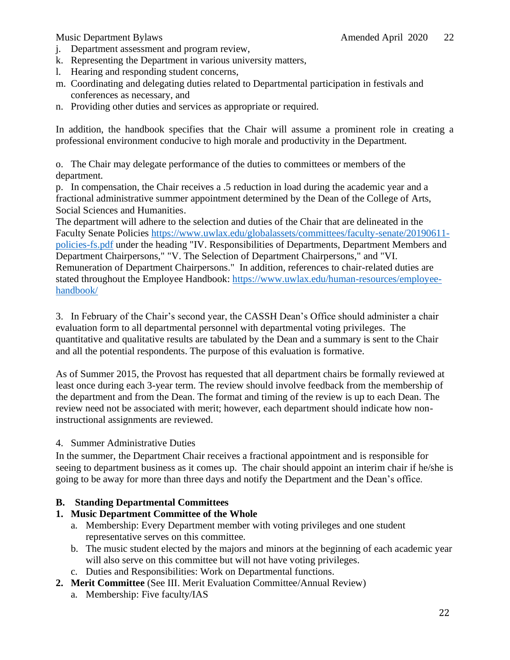- j. Department assessment and program review,
- k. Representing the Department in various university matters,
- l. Hearing and responding student concerns,
- m. Coordinating and delegating duties related to Departmental participation in festivals and conferences as necessary, and
- n. Providing other duties and services as appropriate or required.

In addition, the handbook specifies that the Chair will assume a prominent role in creating a professional environment conducive to high morale and productivity in the Department.

o. The Chair may delegate performance of the duties to committees or members of the department.

p. In compensation, the Chair receives a .5 reduction in load during the academic year and a fractional administrative summer appointment determined by the Dean of the College of Arts, Social Sciences and Humanities.

The department will adhere to the selection and duties of the Chair that are delineated in the Faculty Senate Policies [https://www.uwlax.edu/globalassets/committees/faculty-senate/20190611](https://www.uwlax.edu/globalassets/committees/faculty-senate/20190611-policies-fs.pdf) [policies-fs.pdf](https://www.uwlax.edu/globalassets/committees/faculty-senate/20190611-policies-fs.pdf) under the heading "IV. Responsibilities of Departments, Department Members and Department Chairpersons," "V. The Selection of Department Chairpersons," and "VI. Remuneration of Department Chairpersons." In addition, references to chair-related duties are stated throughout the Employee Handbook: [https://www.uwlax.edu/human-resources/employee](https://www.uwlax.edu/human-resources/employee-handbook/)[handbook/](https://www.uwlax.edu/human-resources/employee-handbook/)

3. In February of the Chair's second year, the CASSH Dean's Office should administer a chair evaluation form to all departmental personnel with departmental voting privileges. The quantitative and qualitative results are tabulated by the Dean and a summary is sent to the Chair and all the potential respondents. The purpose of this evaluation is formative.

As of Summer 2015, the Provost has requested that all department chairs be formally reviewed at least once during each 3-year term. The review should involve feedback from the membership of the department and from the Dean. The format and timing of the review is up to each Dean. The review need not be associated with merit; however, each department should indicate how noninstructional assignments are reviewed.

## 4. Summer Administrative Duties

In the summer, the Department Chair receives a fractional appointment and is responsible for seeing to department business as it comes up. The chair should appoint an interim chair if he/she is going to be away for more than three days and notify the Department and the Dean's office.

## **B. Standing Departmental Committees**

## **1. Music Department Committee of the Whole**

- a. Membership: Every Department member with voting privileges and one student representative serves on this committee.
- b. The music student elected by the majors and minors at the beginning of each academic year will also serve on this committee but will not have voting privileges.
- c. Duties and Responsibilities: Work on Departmental functions.
- **2. Merit Committee** (See III. Merit Evaluation Committee/Annual Review)
	- a. Membership: Five faculty/IAS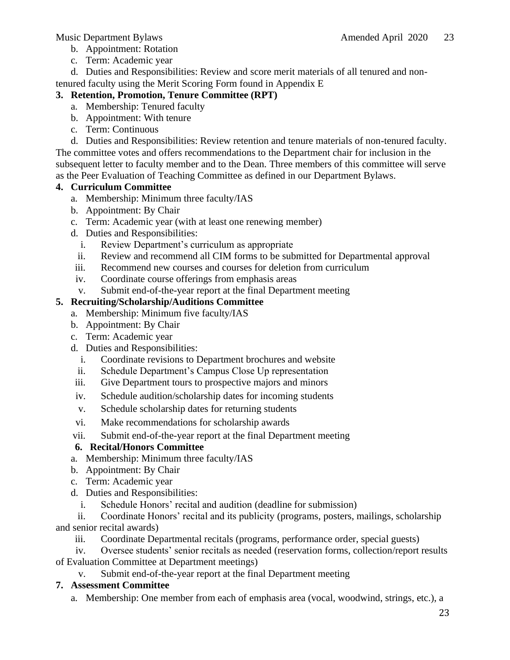- b. Appointment: Rotation
- c. Term: Academic year
- d. Duties and Responsibilities: Review and score merit materials of all tenured and non-

tenured faculty using the Merit Scoring Form found in Appendix E

## **3. Retention, Promotion, Tenure Committee (RPT)**

- a. Membership: Tenured faculty
- b. Appointment: With tenure
- c. Term: Continuous

d. Duties and Responsibilities: Review retention and tenure materials of non-tenured faculty. The committee votes and offers recommendations to the Department chair for inclusion in the subsequent letter to faculty member and to the Dean. Three members of this committee will serve as the Peer Evaluation of Teaching Committee as defined in our Department Bylaws.

## **4. Curriculum Committee**

- a. Membership: Minimum three faculty/IAS
- b. Appointment: By Chair
- c. Term: Academic year (with at least one renewing member)
- d. Duties and Responsibilities:
	- i. Review Department's curriculum as appropriate
	- ii. Review and recommend all CIM forms to be submitted for Departmental approval
- iii. Recommend new courses and courses for deletion from curriculum
- iv. Coordinate course offerings from emphasis areas
- v. Submit end-of-the-year report at the final Department meeting

## **5. Recruiting/Scholarship/Auditions Committee**

- a. Membership: Minimum five faculty/IAS
- b. Appointment: By Chair
- c. Term: Academic year
- d. Duties and Responsibilities:
	- i. Coordinate revisions to Department brochures and website
	- ii. Schedule Department's Campus Close Up representation
- iii. Give Department tours to prospective majors and minors
- iv. Schedule audition/scholarship dates for incoming students
- v. Schedule scholarship dates for returning students
- vi. Make recommendations for scholarship awards
- vii. Submit end-of-the-year report at the final Department meeting

## **6. Recital/Honors Committee**

- a. Membership: Minimum three faculty/IAS
- b. Appointment: By Chair
- c. Term: Academic year
- d. Duties and Responsibilities:
	- i. Schedule Honors' recital and audition (deadline for submission)

ii. Coordinate Honors' recital and its publicity (programs, posters, mailings, scholarship and senior recital awards)

iii. Coordinate Departmental recitals (programs, performance order, special guests)

iv. Oversee students' senior recitals as needed (reservation forms, collection/report results

of Evaluation Committee at Department meetings)

v. Submit end-of-the-year report at the final Department meeting

## **7. Assessment Committee**

a. Membership: One member from each of emphasis area (vocal, woodwind, strings, etc.), a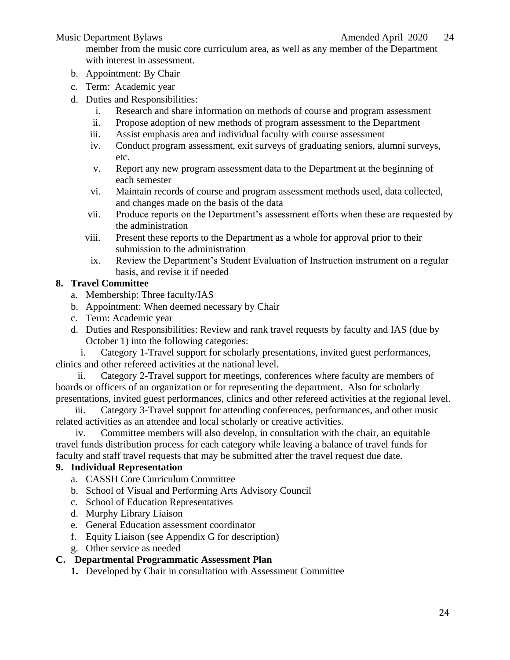member from the music core curriculum area, as well as any member of the Department with interest in assessment.

- b. Appointment: By Chair
- c. Term: Academic year
- d. Duties and Responsibilities:
	- i. Research and share information on methods of course and program assessment
	- ii. Propose adoption of new methods of program assessment to the Department
	- iii. Assist emphasis area and individual faculty with course assessment
	- iv. Conduct program assessment, exit surveys of graduating seniors, alumni surveys, etc.
	- v. Report any new program assessment data to the Department at the beginning of each semester
	- vi. Maintain records of course and program assessment methods used, data collected, and changes made on the basis of the data
	- vii. Produce reports on the Department's assessment efforts when these are requested by the administration
	- viii. Present these reports to the Department as a whole for approval prior to their submission to the administration
	- ix. Review the Department's Student Evaluation of Instruction instrument on a regular basis, and revise it if needed

## **8. Travel Committee**

- a. Membership: Three faculty/IAS
- b. Appointment: When deemed necessary by Chair
- c. Term: Academic year
- d. Duties and Responsibilities: Review and rank travel requests by faculty and IAS (due by October 1) into the following categories:

i. Category 1-Travel support for scholarly presentations, invited guest performances, clinics and other refereed activities at the national level.

ii. Category 2-Travel support for meetings, conferences where faculty are members of boards or officers of an organization or for representing the department. Also for scholarly presentations, invited guest performances, clinics and other refereed activities at the regional level.

iii. Category 3-Travel support for attending conferences, performances, and other music related activities as an attendee and local scholarly or creative activities.

iv. Committee members will also develop, in consultation with the chair, an equitable travel funds distribution process for each category while leaving a balance of travel funds for faculty and staff travel requests that may be submitted after the travel request due date.

## **9. Individual Representation**

- a. CASSH Core Curriculum Committee
- b. School of Visual and Performing Arts Advisory Council
- c. School of Education Representatives
- d. Murphy Library Liaison
- e. General Education assessment coordinator
- f. Equity Liaison (see Appendix G for description)
- g. Other service as needed

## **C. Departmental Programmatic Assessment Plan**

**1.** Developed by Chair in consultation with Assessment Committee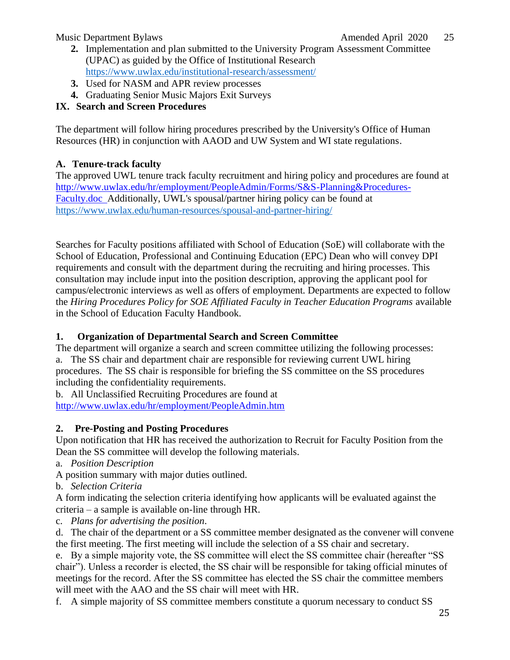- **2.** Implementation and plan submitted to the University Program Assessment Committee (UPAC) as guided by the Office of Institutional Research <https://www.uwlax.edu/institutional-research/assessment/>
- **3.** Used for NASM and APR review processes
- **4.** Graduating Senior Music Majors Exit Surveys

## <span id="page-24-0"></span>**IX. Search and Screen Procedures**

The department will follow hiring procedures prescribed by the University's Office of Human Resources (HR) in conjunction with AAOD and UW System and WI state regulations.

## **A. Tenure-track faculty**

The approved UWL tenure track faculty recruitment and hiring policy and procedures are found at [http://www.uwlax.edu/hr/employment/PeopleAdmin/Forms/S&S-Planning&Procedures-](http://www.uwlax.edu/hr/employment/PeopleAdmin/Forms/S%26S-Planning%26Procedures-Faculty.doc)[Faculty.doc A](http://www.uwlax.edu/hr/employment/PeopleAdmin/Forms/S%26S-Planning%26Procedures-Faculty.doc)dditionally, UWL's spousal/partner hiring policy can be found at <https://www.uwlax.edu/human-resources/spousal-and-partner-hiring/>

Searches for Faculty positions affiliated with School of Education (SoE) will collaborate with the School of Education, Professional and Continuing Education (EPC) Dean who will convey DPI requirements and consult with the department during the recruiting and hiring processes. This consultation may include input into the position description, approving the applicant pool for campus/electronic interviews as well as offers of employment. Departments are expected to follow the *Hiring Procedures Policy for SOE Affiliated Faculty in Teacher Education Programs* available in the School of Education Faculty Handbook.

## **1. Organization of Departmental Search and Screen Committee**

The department will organize a search and screen committee utilizing the following processes: a. The SS chair and department chair are responsible for reviewing current UWL hiring procedures. The SS chair is responsible for briefing the SS committee on the SS procedures including the confidentiality requirements.

b. All Unclassified Recruiting Procedures are found at <http://www.uwlax.edu/hr/employment/PeopleAdmin.htm>

## **2. Pre-Posting and Posting Procedures**

Upon notification that HR has received the authorization to Recruit for Faculty Position from the Dean the SS committee will develop the following materials.

- a. *Position Description*
- A position summary with major duties outlined.
- b. *Selection Criteria*

A form indicating the selection criteria identifying how applicants will be evaluated against the criteria – a sample is available on-line through HR.

c. *Plans for advertising the position*.

d. The chair of the department or a SS committee member designated as the convener will convene the first meeting. The first meeting will include the selection of a SS chair and secretary.

e. By a simple majority vote, the SS committee will elect the SS committee chair (hereafter "SS chair"). Unless a recorder is elected, the SS chair will be responsible for taking official minutes of meetings for the record. After the SS committee has elected the SS chair the committee members will meet with the AAO and the SS chair will meet with HR.

f. A simple majority of SS committee members constitute a quorum necessary to conduct SS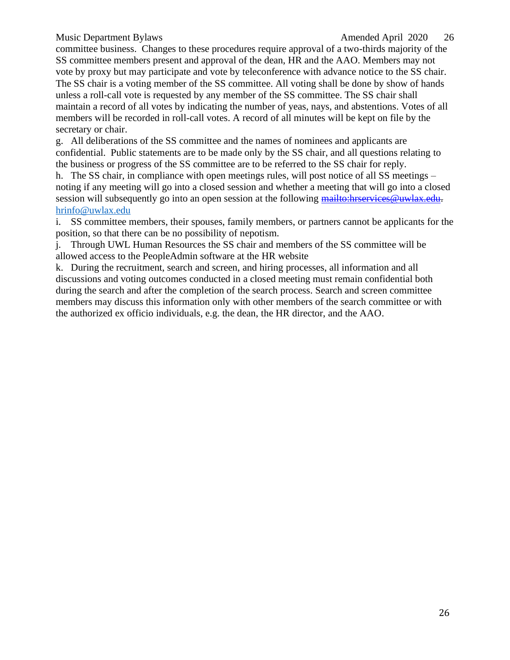committee business. Changes to these procedures require approval of a two-thirds majority of the SS committee members present and approval of the dean, HR and the AAO. Members may not vote by proxy but may participate and vote by teleconference with advance notice to the SS chair. The SS chair is a voting member of the SS committee. All voting shall be done by show of hands unless a roll-call vote is requested by any member of the SS committee. The SS chair shall maintain a record of all votes by indicating the number of yeas, nays, and abstentions. Votes of all members will be recorded in roll-call votes. A record of all minutes will be kept on file by the secretary or chair.

g. All deliberations of the SS committee and the names of nominees and applicants are confidential. Public statements are to be made only by the SS chair, and all questions relating to the business or progress of the SS committee are to be referred to the SS chair for reply.

h. The SS chair, in compliance with open meetings rules, will post notice of all SS meetings – noting if any meeting will go into a closed session and whether a meeting that will go into a closed session will subsequently go into an open session at the following [mailto:hrservices@uwlax.edu.](mailto:hrservices@uwlax.edu) [hrinfo@uwlax.edu](mailto:hrinfo@uwlax.edu)

i. SS committee members, their spouses, family members, or partners cannot be applicants for the position, so that there can be no possibility of nepotism.

j. Through UWL Human Resources the SS chair and members of the SS committee will be allowed access to the PeopleAdmin software at the HR website

k. During the recruitment, search and screen, and hiring processes, all information and all discussions and voting outcomes conducted in a closed meeting must remain confidential both during the search and after the completion of the search process. Search and screen committee members may discuss this information only with other members of the search committee or with the authorized ex officio individuals, e.g. the dean, the HR director, and the AAO.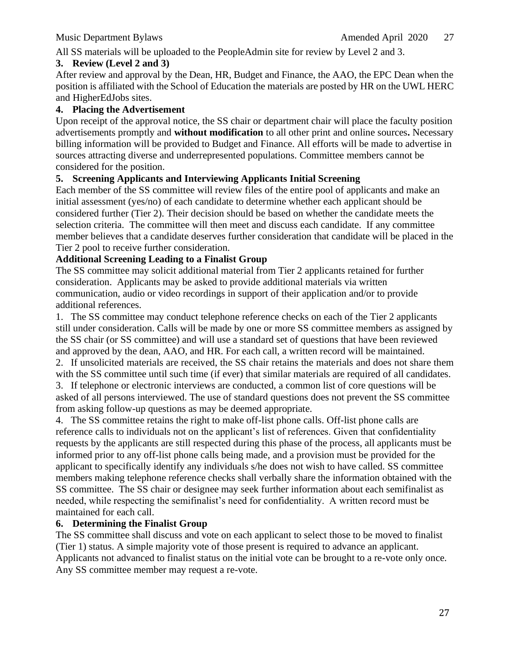All SS materials will be uploaded to the PeopleAdmin site for review by Level 2 and 3.

#### **3. Review (Level 2 and 3)**

After review and approval by the Dean, HR, Budget and Finance, the AAO, the EPC Dean when the position is affiliated with the School of Education the materials are posted by HR on the UWL HERC and HigherEdJobs sites.

#### **4. Placing the Advertisement**

Upon receipt of the approval notice, the SS chair or department chair will place the faculty position advertisements promptly and **without modification** to all other print and online sources**.** Necessary billing information will be provided to Budget and Finance. All efforts will be made to advertise in sources attracting diverse and underrepresented populations. Committee members cannot be considered for the position.

## **5. Screening Applicants and Interviewing Applicants Initial Screening**

Each member of the SS committee will review files of the entire pool of applicants and make an initial assessment (yes/no) of each candidate to determine whether each applicant should be considered further (Tier 2). Their decision should be based on whether the candidate meets the selection criteria. The committee will then meet and discuss each candidate. If any committee member believes that a candidate deserves further consideration that candidate will be placed in the Tier 2 pool to receive further consideration.

## **Additional Screening Leading to a Finalist Group**

The SS committee may solicit additional material from Tier 2 applicants retained for further consideration. Applicants may be asked to provide additional materials via written communication, audio or video recordings in support of their application and/or to provide additional references.

1. The SS committee may conduct telephone reference checks on each of the Tier 2 applicants still under consideration. Calls will be made by one or more SS committee members as assigned by the SS chair (or SS committee) and will use a standard set of questions that have been reviewed and approved by the dean, AAO, and HR. For each call, a written record will be maintained.

2. If unsolicited materials are received, the SS chair retains the materials and does not share them with the SS committee until such time (if ever) that similar materials are required of all candidates.

3. If telephone or electronic interviews are conducted, a common list of core questions will be asked of all persons interviewed. The use of standard questions does not prevent the SS committee from asking follow-up questions as may be deemed appropriate.

4. The SS committee retains the right to make off-list phone calls. Off-list phone calls are reference calls to individuals not on the applicant's list of references. Given that confidentiality requests by the applicants are still respected during this phase of the process, all applicants must be informed prior to any off-list phone calls being made, and a provision must be provided for the applicant to specifically identify any individuals s/he does not wish to have called. SS committee members making telephone reference checks shall verbally share the information obtained with the SS committee. The SS chair or designee may seek further information about each semifinalist as needed, while respecting the semifinalist's need for confidentiality. A written record must be maintained for each call.

## **6. Determining the Finalist Group**

The SS committee shall discuss and vote on each applicant to select those to be moved to finalist (Tier 1) status. A simple majority vote of those present is required to advance an applicant. Applicants not advanced to finalist status on the initial vote can be brought to a re-vote only once. Any SS committee member may request a re-vote.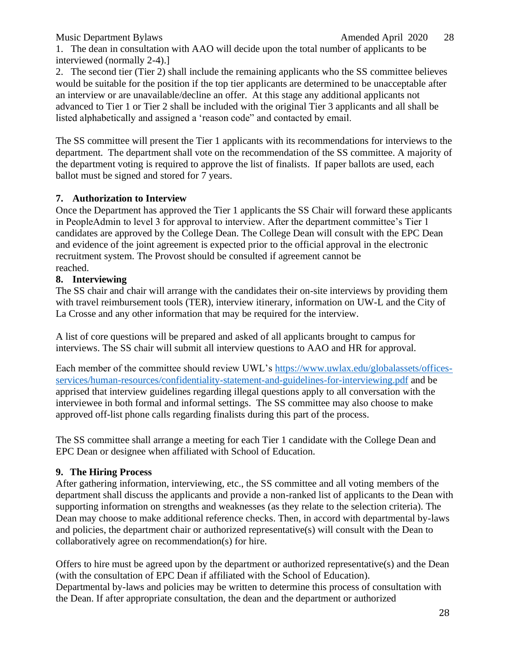1. The dean in consultation with AAO will decide upon the total number of applicants to be interviewed (normally 2-4).]

2. The second tier (Tier 2) shall include the remaining applicants who the SS committee believes would be suitable for the position if the top tier applicants are determined to be unacceptable after an interview or are unavailable/decline an offer. At this stage any additional applicants not advanced to Tier 1 or Tier 2 shall be included with the original Tier 3 applicants and all shall be listed alphabetically and assigned a 'reason code" and contacted by email.

The SS committee will present the Tier 1 applicants with its recommendations for interviews to the department. The department shall vote on the recommendation of the SS committee. A majority of the department voting is required to approve the list of finalists. If paper ballots are used, each ballot must be signed and stored for 7 years.

## **7. Authorization to Interview**

Once the Department has approved the Tier 1 applicants the SS Chair will forward these applicants in PeopleAdmin to level 3 for approval to interview. After the department committee's Tier 1 candidates are approved by the College Dean. The College Dean will consult with the EPC Dean and evidence of the joint agreement is expected prior to the official approval in the electronic recruitment system. The Provost should be consulted if agreement cannot be reached.

#### **8. Interviewing**

The SS chair and chair will arrange with the candidates their on-site interviews by providing them with travel reimbursement tools (TER), interview itinerary, information on UW-L and the City of La Crosse and any other information that may be required for the interview.

A list of core questions will be prepared and asked of all applicants brought to campus for interviews. The SS chair will submit all interview questions to AAO and HR for approval.

Each member of the committee should review UWL's [https://www.uwlax.edu/globalassets/offices](https://www.uwlax.edu/globalassets/offices-services/human-resources/confidentiality-statement-and-guidelines-for-interviewing.pdf)[services/human-resources/confidentiality-statement-and-guidelines-for-interviewing.pdf](https://www.uwlax.edu/globalassets/offices-services/human-resources/confidentiality-statement-and-guidelines-for-interviewing.pdf) and be apprised that interview guidelines regarding illegal questions apply to all conversation with the interviewee in both formal and informal settings. The SS committee may also choose to make approved off-list phone calls regarding finalists during this part of the process.

The SS committee shall arrange a meeting for each Tier 1 candidate with the College Dean and EPC Dean or designee when affiliated with School of Education.

## **9. The Hiring Process**

After gathering information, interviewing, etc., the SS committee and all voting members of the department shall discuss the applicants and provide a non-ranked list of applicants to the Dean with supporting information on strengths and weaknesses (as they relate to the selection criteria). The Dean may choose to make additional reference checks. Then, in accord with departmental by-laws and policies, the department chair or authorized representative(s) will consult with the Dean to collaboratively agree on recommendation(s) for hire.

Offers to hire must be agreed upon by the department or authorized representative(s) and the Dean (with the consultation of EPC Dean if affiliated with the School of Education). Departmental by-laws and policies may be written to determine this process of consultation with the Dean. If after appropriate consultation, the dean and the department or authorized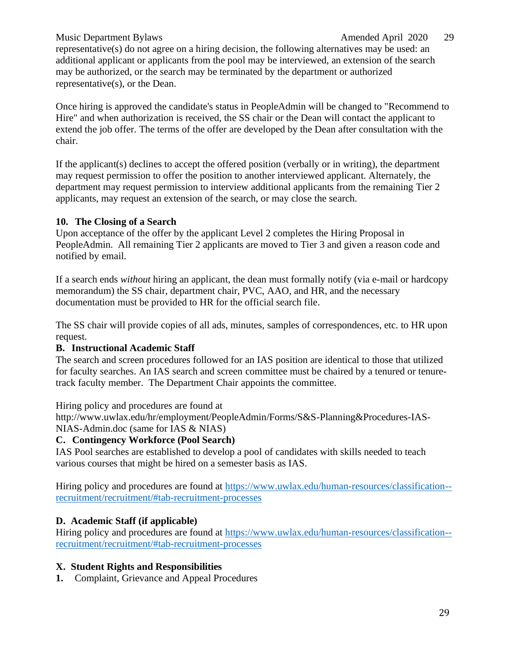## Music Department Bylaws Amended April 2020 29

representative(s) do not agree on a hiring decision, the following alternatives may be used: an additional applicant or applicants from the pool may be interviewed, an extension of the search may be authorized, or the search may be terminated by the department or authorized representative(s), or the Dean.

Once hiring is approved the candidate's status in PeopleAdmin will be changed to "Recommend to Hire" and when authorization is received, the SS chair or the Dean will contact the applicant to extend the job offer. The terms of the offer are developed by the Dean after consultation with the chair.

If the applicant(s) declines to accept the offered position (verbally or in writing), the department may request permission to offer the position to another interviewed applicant. Alternately, the department may request permission to interview additional applicants from the remaining Tier 2 applicants, may request an extension of the search, or may close the search.

#### **10. The Closing of a Search**

Upon acceptance of the offer by the applicant Level 2 completes the Hiring Proposal in PeopleAdmin. All remaining Tier 2 applicants are moved to Tier 3 and given a reason code and notified by email.

If a search ends *without* hiring an applicant, the dean must formally notify (via e-mail or hardcopy memorandum) the SS chair, department chair, PVC, AAO, and HR, and the necessary documentation must be provided to HR for the official search file.

The SS chair will provide copies of all ads, minutes, samples of correspondences, etc. to HR upon request.

#### **B. Instructional Academic Staff**

The search and screen procedures followed for an IAS position are identical to those that utilized for faculty searches. An IAS search and screen committee must be chaired by a tenured or tenuretrack faculty member. The Department Chair appoints the committee.

Hiring policy and procedures are found a[t](http://www.uwlax.edu/hr/employment/PeopleAdmin/Forms/S%26S-Planning%26Procedures-IAS-)

[http://www.uwlax.edu/hr/employment/PeopleAdmin/Forms/S&S-Planning&Procedures-IAS-](http://www.uwlax.edu/hr/employment/PeopleAdmin/Forms/S%26S-Planning%26Procedures-IAS-)NIAS-Admin.doc (same for IAS & NIAS)

## **C. Contingency Workforce (Pool Search)**

IAS Pool searches are established to develop a pool of candidates with skills needed to teach various courses that might be hired on a semester basis as IAS.

Hiring policy and procedures are found at [https://www.uwlax.edu/human-resources/classification-](https://www.uwlax.edu/human-resources/classification--recruitment/recruitment/#tab-recruitment-processes) [recruitment/recruitment/#tab-recruitment-processes](https://www.uwlax.edu/human-resources/classification--recruitment/recruitment/#tab-recruitment-processes)

#### **D. Academic Staff (if applicable)**

Hiring policy and procedures are found at [https://www.uwlax.edu/human-resources/classification-](https://www.uwlax.edu/human-resources/classification--recruitment/recruitment/#tab-recruitment-processes) [recruitment/recruitment/#tab-recruitment-processes](https://www.uwlax.edu/human-resources/classification--recruitment/recruitment/#tab-recruitment-processes)

#### <span id="page-28-0"></span>**X. Student Rights and Responsibilities**

**1.** Complaint, Grievance and Appeal Procedures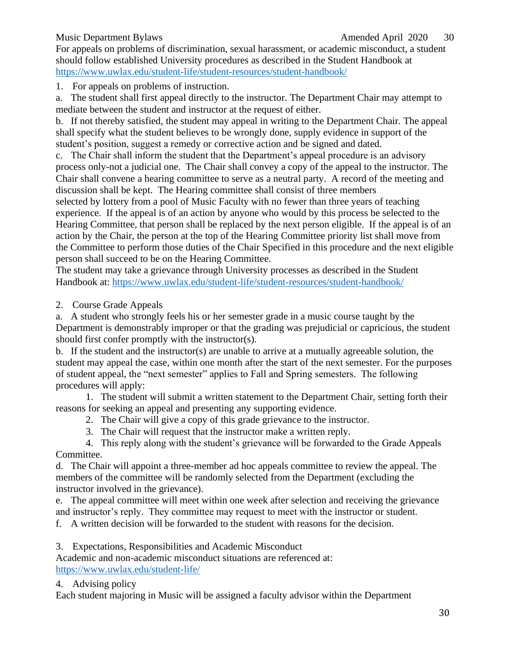For appeals on problems of discrimination, sexual harassment, or academic misconduct, a student should follow established University procedures as described in the Student Handbook at <https://www.uwlax.edu/student-life/student-resources/student-handbook/>

1. For appeals on problems of instruction.

a. The student shall first appeal directly to the instructor. The Department Chair may attempt to mediate between the student and instructor at the request of either.

b. If not thereby satisfied, the student may appeal in writing to the Department Chair. The appeal shall specify what the student believes to be wrongly done, supply evidence in support of the student's position, suggest a remedy or corrective action and be signed and dated.

c. The Chair shall inform the student that the Department's appeal procedure is an advisory process only-not a judicial one. The Chair shall convey a copy of the appeal to the instructor. The Chair shall convene a hearing committee to serve as a neutral party. A record of the meeting and discussion shall be kept. The Hearing committee shall consist of three members

selected by lottery from a pool of Music Faculty with no fewer than three years of teaching experience. If the appeal is of an action by anyone who would by this process be selected to the Hearing Committee, that person shall be replaced by the next person eligible. If the appeal is of an action by the Chair, the person at the top of the Hearing Committee priority list shall move from the Committee to perform those duties of the Chair Specified in this procedure and the next eligible person shall succeed to be on the Hearing Committee.

The student may take a grievance through University processes as described in the Student Handbook at:<https://www.uwlax.edu/student-life/student-resources/student-handbook/>

2. Course Grade Appeals

a. A student who strongly feels his or her semester grade in a music course taught by the Department is demonstrably improper or that the grading was prejudicial or capricious, the student should first confer promptly with the instructor(s).

b. If the student and the instructor(s) are unable to arrive at a mutually agreeable solution, the student may appeal the case, within one month after the start of the next semester. For the purposes of student appeal, the "next semester" applies to Fall and Spring semesters. The following procedures will apply:

1. The student will submit a written statement to the Department Chair, setting forth their reasons for seeking an appeal and presenting any supporting evidence.

2. The Chair will give a copy of this grade grievance to the instructor.

3. The Chair will request that the instructor make a written reply.

4. This reply along with the student's grievance will be forwarded to the Grade Appeals Committee.

d. The Chair will appoint a three-member ad hoc appeals committee to review the appeal. The members of the committee will be randomly selected from the Department (excluding the instructor involved in the grievance).

e. The appeal committee will meet within one week after selection and receiving the grievance and instructor's reply. They committee may request to meet with the instructor or student.

f. A written decision will be forwarded to the student with reasons for the decision.

3. Expectations, Responsibilities and Academic Misconduct

Academic and non-academic misconduct situations are referenced at: <https://www.uwlax.edu/student-life/>

## 4. Advising policy

Each student majoring in Music will be assigned a faculty advisor within the Department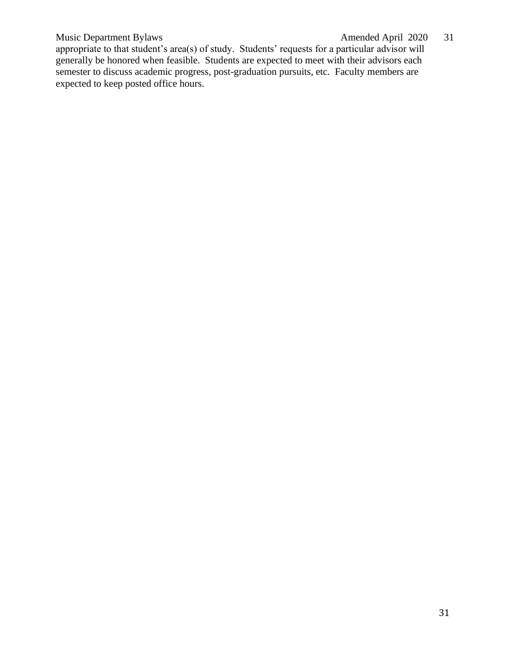## Music Department Bylaws Amended April 2020 31

appropriate to that student's area(s) of study. Students' requests for a particular advisor will generally be honored when feasible. Students are expected to meet with their advisors each semester to discuss academic progress, post-graduation pursuits, etc. Faculty members are expected to keep posted office hours.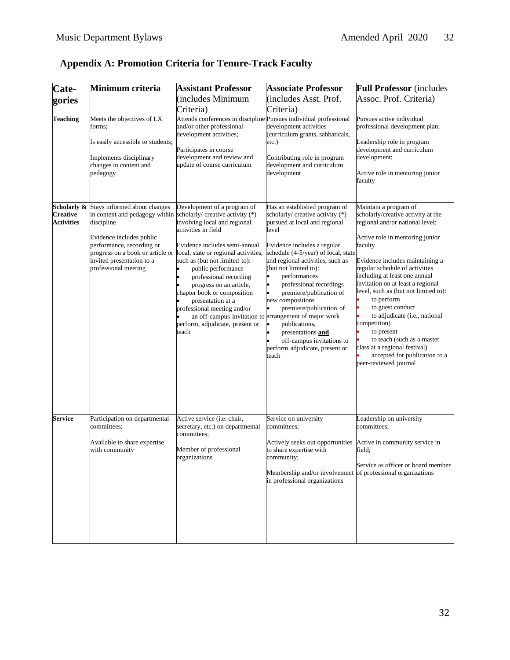| Cate-                                | Minimum criteria                                                                                                                                                                                                                | <b>Assistant Professor</b>                                                                                                                                                                                                                                                                                                                                                                             | <b>Associate Professor</b>                                                                                                                                                                                                                                                                                                                                                                                                                                                                                                | <b>Full Professor</b> (includes                                                                                                                                                                                                                                                                                                                                                                                                                                                                                                  |
|--------------------------------------|---------------------------------------------------------------------------------------------------------------------------------------------------------------------------------------------------------------------------------|--------------------------------------------------------------------------------------------------------------------------------------------------------------------------------------------------------------------------------------------------------------------------------------------------------------------------------------------------------------------------------------------------------|---------------------------------------------------------------------------------------------------------------------------------------------------------------------------------------------------------------------------------------------------------------------------------------------------------------------------------------------------------------------------------------------------------------------------------------------------------------------------------------------------------------------------|----------------------------------------------------------------------------------------------------------------------------------------------------------------------------------------------------------------------------------------------------------------------------------------------------------------------------------------------------------------------------------------------------------------------------------------------------------------------------------------------------------------------------------|
| gories                               |                                                                                                                                                                                                                                 | (includes Minimum                                                                                                                                                                                                                                                                                                                                                                                      | (includes Asst. Prof.                                                                                                                                                                                                                                                                                                                                                                                                                                                                                                     | Assoc. Prof. Criteria)                                                                                                                                                                                                                                                                                                                                                                                                                                                                                                           |
|                                      |                                                                                                                                                                                                                                 | Criteria)                                                                                                                                                                                                                                                                                                                                                                                              | Criteria)                                                                                                                                                                                                                                                                                                                                                                                                                                                                                                                 |                                                                                                                                                                                                                                                                                                                                                                                                                                                                                                                                  |
| <b>Teaching</b>                      | Meets the objectives of LX<br>forms;<br>Is easily accessible to students;<br>Implements disciplinary<br>changes in content and<br>pedagogy                                                                                      | Attends conferences in discipline Pursues individual professional<br>and/or other professional<br>development activities;<br>Participates in course<br>development and review and<br>update of course curriculum                                                                                                                                                                                       | development activities<br>(curriculum grants, sabbaticals,<br>etc.)<br>Contributing role in program<br>development and curriculum<br>development                                                                                                                                                                                                                                                                                                                                                                          | Pursues active individual<br>professional development plan;<br>Leadership role in program<br>development and curriculum<br>development;<br>Active role in mentoring junior<br>faculty                                                                                                                                                                                                                                                                                                                                            |
| Scholarly &                          | Stays informed about changes                                                                                                                                                                                                    | Development of a program of                                                                                                                                                                                                                                                                                                                                                                            | Has an established program of                                                                                                                                                                                                                                                                                                                                                                                                                                                                                             | Maintain a program of                                                                                                                                                                                                                                                                                                                                                                                                                                                                                                            |
| <b>Creative</b><br><b>Activities</b> | in content and pedagogy within scholarly/ creative activity (*)<br>discipline<br>Evidence includes public<br>performance, recording or<br>progress on a book or article or<br>invited presentation to a<br>professional meeting | involving local and regional<br>activities in field<br>Evidence includes semi-annual<br>local, state or regional activities,<br>such as (but not limited to):<br>public performance<br>professional recording<br>progress on an article,<br>chapter book or composition<br>presentation at a<br>professional meeting and/or<br>an off-campus invitation to<br>perform, adjudicate, present or<br>teach | scholarly/ creative activity (*)<br>pursued at local and regional<br>level<br>Evidence includes a regular<br>schedule (4-5/year) of local, state<br>and regional activities, such as<br>(but not limited to):<br>performances<br>$\bullet$<br>lo<br>professional recordings<br>lo<br>premiere/publication of<br>new compositions<br>premiere/publication of<br>arrangement of major work<br>lo<br>publications,<br>$\bullet$<br>presentations and<br>off-campus invitations to<br>perform adjudicate, present or<br>teach | scholarly/creative activity at the<br>regional and/or national level;<br>Active role in mentoring junior<br>faculty<br>Evidence includes maintaining a<br>regular schedule of activities<br>including at least one annual<br>invitation on at least a regional<br>level, such as (but not limited to):<br>to perform<br>to guest conduct<br>to adjudicate (i.e., national<br>competition)<br>to present<br>to teach (such as a master<br>class at a regional festival)<br>accepted for publication to a<br>peer-reviewed journal |
| Service                              | Participation on departmental                                                                                                                                                                                                   | Active service (i.e. chair,<br>secretary, etc.) on departmental                                                                                                                                                                                                                                                                                                                                        | Service on university                                                                                                                                                                                                                                                                                                                                                                                                                                                                                                     | Leadership on university<br>committees:                                                                                                                                                                                                                                                                                                                                                                                                                                                                                          |
|                                      | committees;<br>Available to share expertise<br>with community                                                                                                                                                                   | committees;<br>Member of professional<br>organizations                                                                                                                                                                                                                                                                                                                                                 | committees;<br>Actively seeks out opportunities<br>to share expertise with<br>community;<br>Membership and/or involvement of professional organizations<br>in professional organizations                                                                                                                                                                                                                                                                                                                                  | Active in community service in<br>field;<br>Service as officer or board member                                                                                                                                                                                                                                                                                                                                                                                                                                                   |

## <span id="page-31-0"></span>**Appendix A: Promotion Criteria for Tenure-Track Faculty**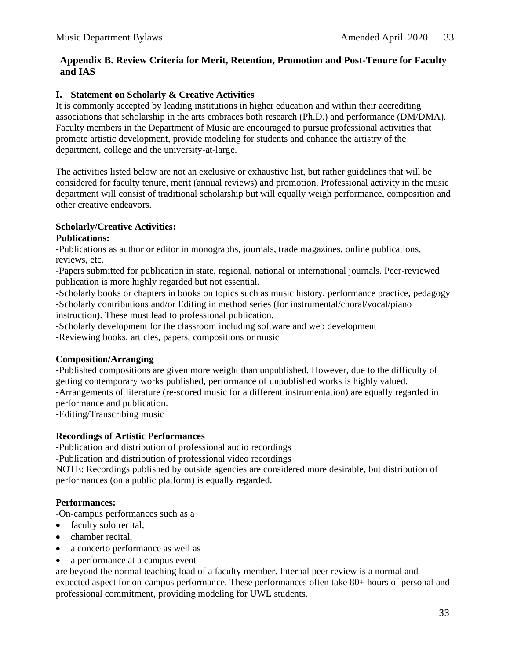#### <span id="page-32-0"></span>**Appendix B. Review Criteria for Merit, Retention, Promotion and Post-Tenure for Faculty and IAS**

#### **I. Statement on Scholarly & Creative Activities**

It is commonly accepted by leading institutions in higher education and within their accrediting associations that scholarship in the arts embraces both research (Ph.D.) and performance (DM/DMA). Faculty members in the Department of Music are encouraged to pursue professional activities that promote artistic development, provide modeling for students and enhance the artistry of the department, college and the university-at-large.

The activities listed below are not an exclusive or exhaustive list, but rather guidelines that will be considered for faculty tenure, merit (annual reviews) and promotion. Professional activity in the music department will consist of traditional scholarship but will equally weigh performance, composition and other creative endeavors.

#### **Scholarly/Creative Activities:**

#### **Publications:**

-Publications as author or editor in monographs, journals, trade magazines, online publications, reviews, etc.

-Papers submitted for publication in state, regional, national or international journals. Peer-reviewed publication is more highly regarded but not essential.

-Scholarly books or chapters in books on topics such as music history, performance practice, pedagogy -Scholarly contributions and/or Editing in method series (for instrumental/choral/vocal/piano instruction). These must lead to professional publication.

-Scholarly development for the classroom including software and web development -Reviewing books, articles, papers, compositions or music

#### **Composition/Arranging**

-Published compositions are given more weight than unpublished. However, due to the difficulty of getting contemporary works published, performance of unpublished works is highly valued. -Arrangements of literature (re-scored music for a different instrumentation) are equally regarded in

performance and publication.

-Editing/Transcribing music

#### **Recordings of Artistic Performances**

-Publication and distribution of professional audio recordings

-Publication and distribution of professional video recordings

NOTE: Recordings published by outside agencies are considered more desirable, but distribution of performances (on a public platform) is equally regarded.

#### **Performances:**

-On-campus performances such as a

- faculty solo recital,
- chamber recital,
- a concerto performance as well as
- a performance at a campus event

are beyond the normal teaching load of a faculty member. Internal peer review is a normal and expected aspect for on-campus performance. These performances often take 80+ hours of personal and professional commitment, providing modeling for UWL students.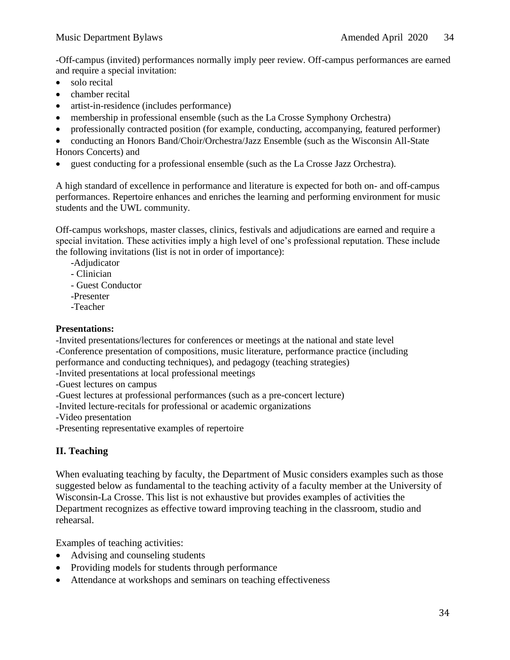-Off-campus (invited) performances normally imply peer review. Off-campus performances are earned and require a special invitation:

- solo recital
- chamber recital
- artist-in-residence (includes performance)
- membership in professional ensemble (such as the La Crosse Symphony Orchestra)
- professionally contracted position (for example, conducting, accompanying, featured performer)
- conducting an Honors Band/Choir/Orchestra/Jazz Ensemble (such as the Wisconsin All-State Honors Concerts) and
- guest conducting for a professional ensemble (such as the La Crosse Jazz Orchestra).

A high standard of excellence in performance and literature is expected for both on- and off-campus performances. Repertoire enhances and enriches the learning and performing environment for music students and the UWL community.

Off-campus workshops, master classes, clinics, festivals and adjudications are earned and require a special invitation. These activities imply a high level of one's professional reputation. These include the following invitations (list is not in order of importance):

- -Adjudicator
- Clinician
- Guest Conductor
- -Presenter
- -Teacher

#### **Presentations:**

-Invited presentations/lectures for conferences or meetings at the national and state level -Conference presentation of compositions, music literature, performance practice (including performance and conducting techniques), and pedagogy (teaching strategies)

- -Invited presentations at local professional meetings
- -Guest lectures on campus
- -Guest lectures at professional performances (such as a pre-concert lecture)
- -Invited lecture-recitals for professional or academic organizations
- -Video presentation
- -Presenting representative examples of repertoire

## **II. Teaching**

When evaluating teaching by faculty, the Department of Music considers examples such as those suggested below as fundamental to the teaching activity of a faculty member at the University of Wisconsin-La Crosse. This list is not exhaustive but provides examples of activities the Department recognizes as effective toward improving teaching in the classroom, studio and rehearsal.

Examples of teaching activities:

- Advising and counseling students
- Providing models for students through performance
- Attendance at workshops and seminars on teaching effectiveness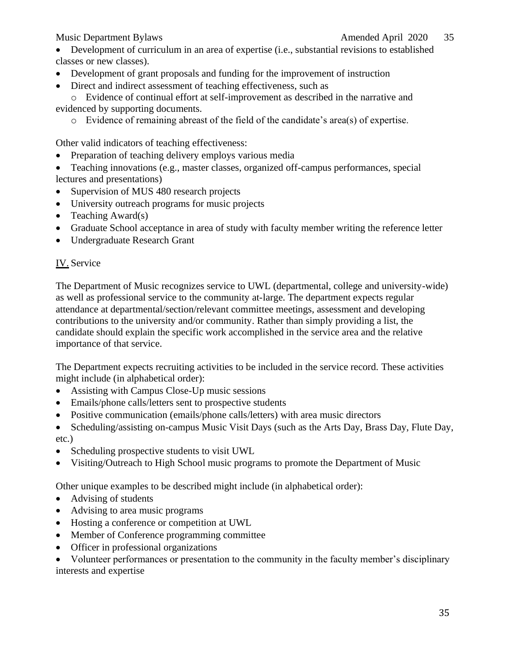• Development of curriculum in an area of expertise (i.e., substantial revisions to established classes or new classes).

- Development of grant proposals and funding for the improvement of instruction
- Direct and indirect assessment of teaching effectiveness, such as

o Evidence of continual effort at self-improvement as described in the narrative and evidenced by supporting documents.

o Evidence of remaining abreast of the field of the candidate's area(s) of expertise.

Other valid indicators of teaching effectiveness:

- Preparation of teaching delivery employs various media
- Teaching innovations (e.g., master classes, organized off-campus performances, special lectures and presentations)
- Supervision of MUS 480 research projects
- University outreach programs for music projects
- Teaching Award(s)
- Graduate School acceptance in area of study with faculty member writing the reference letter
- Undergraduate Research Grant

## IV. Service

The Department of Music recognizes service to UWL (departmental, college and university-wide) as well as professional service to the community at-large. The department expects regular attendance at departmental/section/relevant committee meetings, assessment and developing contributions to the university and/or community. Rather than simply providing a list, the candidate should explain the specific work accomplished in the service area and the relative importance of that service.

The Department expects recruiting activities to be included in the service record. These activities might include (in alphabetical order):

- Assisting with Campus Close-Up music sessions
- Emails/phone calls/letters sent to prospective students
- Positive communication (emails/phone calls/letters) with area music directors
- Scheduling/assisting on-campus Music Visit Days (such as the Arts Day, Brass Day, Flute Day, etc.)
- Scheduling prospective students to visit UWL
- Visiting/Outreach to High School music programs to promote the Department of Music

Other unique examples to be described might include (in alphabetical order):

- Advising of students
- Advising to area music programs
- Hosting a conference or competition at UWL
- Member of Conference programming committee
- Officer in professional organizations

• Volunteer performances or presentation to the community in the faculty member's disciplinary interests and expertise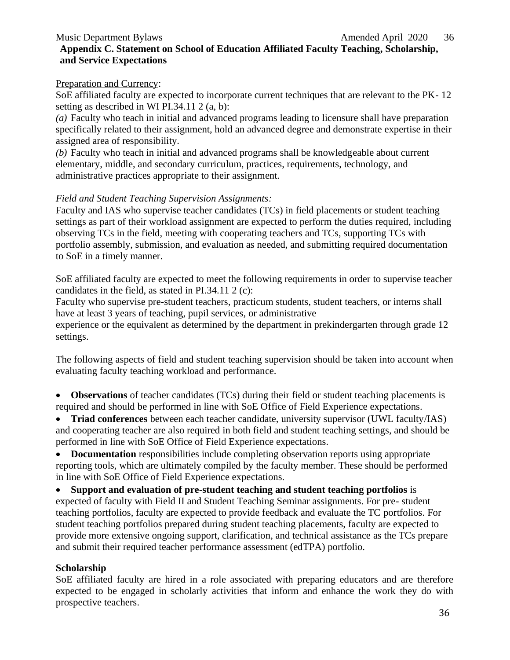## <span id="page-35-0"></span>**Appendix C. Statement on School of Education Affiliated Faculty Teaching, Scholarship, and Service Expectations**

#### Preparation and Currency:

SoE affiliated faculty are expected to incorporate current techniques that are relevant to the PK- 12 setting as described in WI PI.34.11 2 (a, b):

*(a)* Faculty who teach in initial and advanced programs leading to licensure shall have preparation specifically related to their assignment, hold an advanced degree and demonstrate expertise in their assigned area of responsibility.

*(b)* Faculty who teach in initial and advanced programs shall be knowledgeable about current elementary, middle, and secondary curriculum, practices, requirements, technology, and administrative practices appropriate to their assignment.

#### *Field and Student Teaching Supervision Assignments:*

Faculty and IAS who supervise teacher candidates (TCs) in field placements or student teaching settings as part of their workload assignment are expected to perform the duties required, including observing TCs in the field, meeting with cooperating teachers and TCs, supporting TCs with portfolio assembly, submission, and evaluation as needed, and submitting required documentation to SoE in a timely manner.

SoE affiliated faculty are expected to meet the following requirements in order to supervise teacher candidates in the field, as stated in PI.34.11 2 (c):

Faculty who supervise pre-student teachers, practicum students, student teachers, or interns shall have at least 3 years of teaching, pupil services, or administrative

experience or the equivalent as determined by the department in prekindergarten through grade 12 settings.

The following aspects of field and student teaching supervision should be taken into account when evaluating faculty teaching workload and performance.

• **Observations** of teacher candidates (TCs) during their field or student teaching placements is required and should be performed in line with SoE Office of Field Experience expectations.

• **Triad conferences** between each teacher candidate, university supervisor (UWL faculty/IAS) and cooperating teacher are also required in both field and student teaching settings, and should be performed in line with SoE Office of Field Experience expectations.

• **Documentation** responsibilities include completing observation reports using appropriate reporting tools, which are ultimately compiled by the faculty member. These should be performed in line with SoE Office of Field Experience expectations.

• **Support and evaluation of pre-student teaching and student teaching portfolios** is expected of faculty with Field II and Student Teaching Seminar assignments. For pre- student teaching portfolios, faculty are expected to provide feedback and evaluate the TC portfolios. For student teaching portfolios prepared during student teaching placements, faculty are expected to provide more extensive ongoing support, clarification, and technical assistance as the TCs prepare and submit their required teacher performance assessment (edTPA) portfolio.

#### **Scholarship**

SoE affiliated faculty are hired in a role associated with preparing educators and are therefore expected to be engaged in scholarly activities that inform and enhance the work they do with prospective teachers.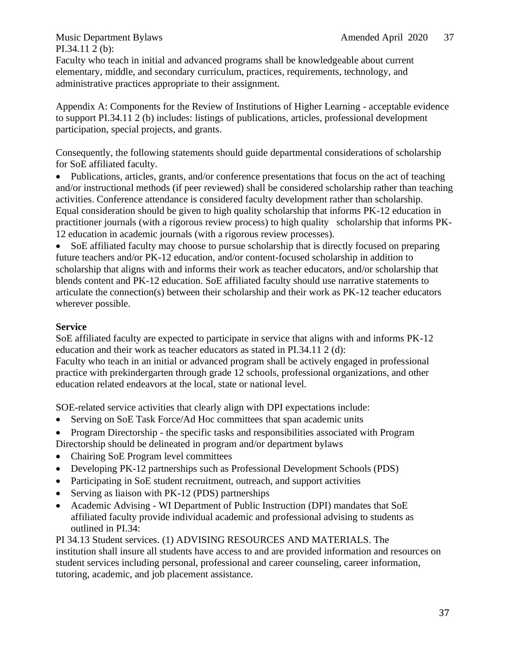PI.34.11 2 (b):

Faculty who teach in initial and advanced programs shall be knowledgeable about current elementary, middle, and secondary curriculum, practices, requirements, technology, and administrative practices appropriate to their assignment.

Appendix A: Components for the Review of Institutions of Higher Learning - acceptable evidence to support PI.34.11 2 (b) includes: listings of publications, articles, professional development participation, special projects, and grants.

Consequently, the following statements should guide departmental considerations of scholarship for SoE affiliated faculty.

• Publications, articles, grants, and/or conference presentations that focus on the act of teaching and/or instructional methods (if peer reviewed) shall be considered scholarship rather than teaching activities. Conference attendance is considered faculty development rather than scholarship. Equal consideration should be given to high quality scholarship that informs PK-12 education in practitioner journals (with a rigorous review process) to high quality scholarship that informs PK-12 education in academic journals (with a rigorous review processes).

• SoE affiliated faculty may choose to pursue scholarship that is directly focused on preparing future teachers and/or PK-12 education, and/or content-focused scholarship in addition to scholarship that aligns with and informs their work as teacher educators, and/or scholarship that blends content and PK-12 education. SoE affiliated faculty should use narrative statements to articulate the connection(s) between their scholarship and their work as PK-12 teacher educators wherever possible.

#### **Service**

SoE affiliated faculty are expected to participate in service that aligns with and informs PK-12 education and their work as teacher educators as stated in PI.34.11 2 (d):

Faculty who teach in an initial or advanced program shall be actively engaged in professional practice with prekindergarten through grade 12 schools, professional organizations, and other education related endeavors at the local, state or national level.

SOE-related service activities that clearly align with DPI expectations include:

- Serving on SoE Task Force/Ad Hoc committees that span academic units
- Program Directorship the specific tasks and responsibilities associated with Program Directorship should be delineated in program and/or department bylaws
- Chairing SoE Program level committees
- Developing PK-12 partnerships such as Professional Development Schools (PDS)
- Participating in SoE student recruitment, outreach, and support activities
- Serving as liaison with PK-12 (PDS) partnerships
- Academic Advising WI Department of Public Instruction (DPI) mandates that SoE affiliated faculty provide individual academic and professional advising to students as outlined in PI.34:

PI 34.13 Student services. (1) ADVISING RESOURCES AND MATERIALS. The institution shall insure all students have access to and are provided information and resources on student services including personal, professional and career counseling, career information, tutoring, academic, and job placement assistance.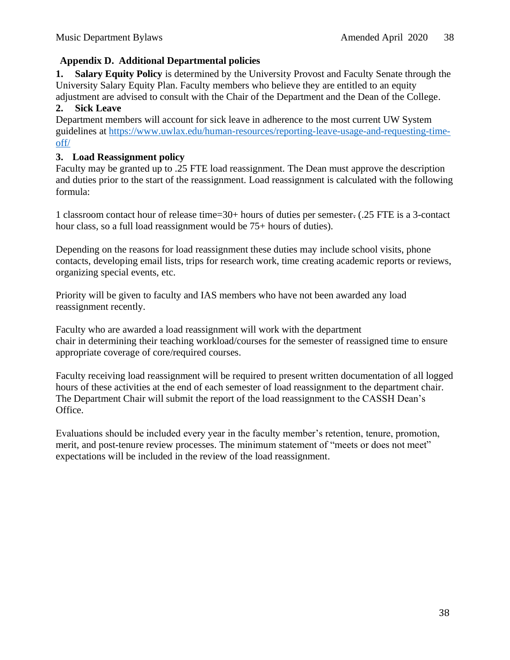#### <span id="page-37-0"></span>**Appendix D. Additional Departmental policies**

**1. Salary Equity Policy** is determined by the University Provost and Faculty Senate through the University Salary Equity Plan. Faculty members who believe they are entitled to an equity adjustment are advised to consult with the Chair of the Department and the Dean of the College.

#### **2. Sick Leave**

Department members will account for sick leave in adherence to the most current UW System guidelines at [https://www.uwlax.edu/human-resources/reporting-leave-usage-and-requesting-time](https://www.uwlax.edu/human-resources/reporting-leave-usage-and-requesting-time-off/)[off/](https://www.uwlax.edu/human-resources/reporting-leave-usage-and-requesting-time-off/)

#### **3. Load Reassignment policy**

Faculty may be granted up to .25 FTE load reassignment. The Dean must approve the description and duties prior to the start of the reassignment. Load reassignment is calculated with the following formula:

1 classroom contact hour of release time=30+ hours of duties per semester. (.25 FTE is a 3-contact hour class, so a full load reassignment would be 75+ hours of duties).

Depending on the reasons for load reassignment these duties may include school visits, phone contacts, developing email lists, trips for research work, time creating academic reports or reviews, organizing special events, etc.

Priority will be given to faculty and IAS members who have not been awarded any load reassignment recently.

Faculty who are awarded a load reassignment will work with the department chair in determining their teaching workload/courses for the semester of reassigned time to ensure appropriate coverage of core/required courses.

Faculty receiving load reassignment will be required to present written documentation of all logged hours of these activities at the end of each semester of load reassignment to the department chair. The Department Chair will submit the report of the load reassignment to the CASSH Dean's Office.

Evaluations should be included every year in the faculty member's retention, tenure, promotion, merit, and post-tenure review processes. The minimum statement of "meets or does not meet" expectations will be included in the review of the load reassignment.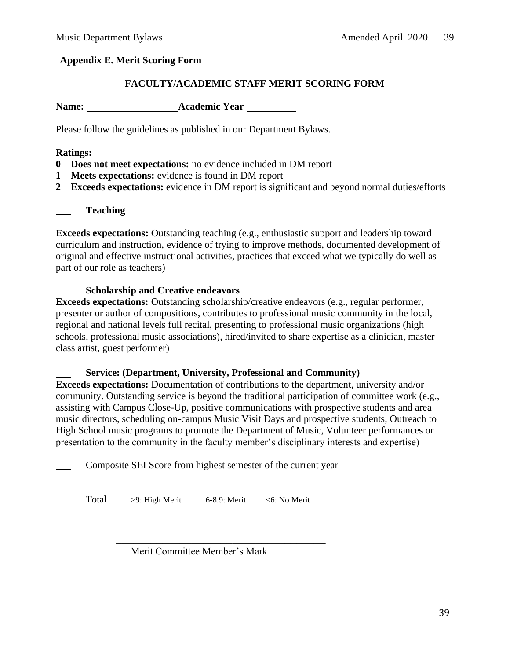#### <span id="page-38-0"></span>**Appendix E. Merit Scoring Form**

#### **FACULTY/ACADEMIC STAFF MERIT SCORING FORM**

**Name:** Academic Year **Academic Year** 

Please follow the guidelines as published in our Department Bylaws.

#### **Ratings:**

- **0 Does not meet expectations:** no evidence included in DM report
- **1 Meets expectations:** evidence is found in DM report
- **2 Exceeds expectations:** evidence in DM report is significant and beyond normal duties/efforts

|  | <b>Teaching</b> |
|--|-----------------|
|--|-----------------|

**Exceeds expectations:** Outstanding teaching (e.g., enthusiastic support and leadership toward curriculum and instruction, evidence of trying to improve methods, documented development of original and effective instructional activities, practices that exceed what we typically do well as part of our role as teachers)

#### **Scholarship and Creative endeavors**

**Exceeds expectations:** Outstanding scholarship/creative endeavors (e.g., regular performer, presenter or author of compositions, contributes to professional music community in the local, regional and national levels full recital, presenting to professional music organizations (high schools, professional music associations), hired/invited to share expertise as a clinician, master class artist, guest performer)

## **Service: (Department, University, Professional and Community)**

**Exceeds expectations:** Documentation of contributions to the department, university and/or community. Outstanding service is beyond the traditional participation of committee work (e.g., assisting with Campus Close-Up, positive communications with prospective students and area music directors, scheduling on-campus Music Visit Days and prospective students, Outreach to High School music programs to promote the Department of Music, Volunteer performances or presentation to the community in the faculty member's disciplinary interests and expertise)

Composite SEI Score from highest semester of the current year

Total >9: High Merit 6-8.9: Merit <6: No Merit

Merit Committee Member's Mark

\_\_\_\_\_\_\_\_\_\_\_\_\_\_\_\_\_\_\_\_\_\_\_\_\_\_\_\_\_\_\_\_\_\_\_\_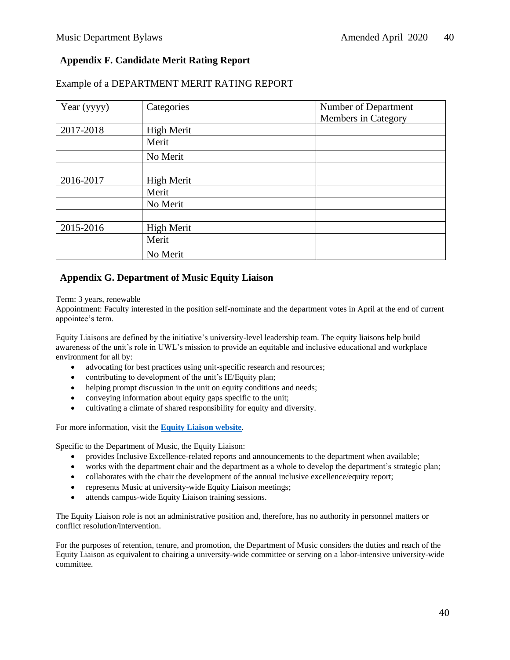#### <span id="page-39-0"></span>**Appendix F. Candidate Merit Rating Report**

| Year (yyyy) | Categories        | Number of Department |
|-------------|-------------------|----------------------|
|             |                   | Members in Category  |
| 2017-2018   | <b>High Merit</b> |                      |
|             | Merit             |                      |
|             | No Merit          |                      |
|             |                   |                      |
| 2016-2017   | High Merit        |                      |
|             | Merit             |                      |
|             | No Merit          |                      |
|             |                   |                      |
| 2015-2016   | <b>High Merit</b> |                      |
|             | Merit             |                      |
|             | No Merit          |                      |

#### Example of a DEPARTMENT MERIT RATING REPORT

#### <span id="page-39-1"></span>**Appendix G. Department of Music Equity Liaison**

Term: 3 years, renewable

Appointment: Faculty interested in the position self-nominate and the department votes in April at the end of current appointee's term.

Equity Liaisons are defined by the initiative's university-level leadership team. The equity liaisons help build awareness of the unit's role in UWL's mission to provide an equitable and inclusive educational and workplace environment for all by:

- advocating for best practices using unit-specific research and resources;
- contributing to development of the unit's IE/Equity plan;
- helping prompt discussion in the unit on equity conditions and needs;
- conveying information about equity gaps specific to the unit;
- cultivating a climate of shared responsibility for equity and diversity.

For more information, visit the **[Equity Liaison website](https://www.uwlax.edu/equity/equity-liaison-initiative/)**.

Specific to the Department of Music, the Equity Liaison:

- provides Inclusive Excellence-related reports and announcements to the department when available;
- works with the department chair and the department as a whole to develop the department's strategic plan;
- collaborates with the chair the development of the annual inclusive excellence/equity report;
- represents Music at university-wide Equity Liaison meetings;
- attends campus-wide Equity Liaison training sessions.

The Equity Liaison role is not an administrative position and, therefore, has no authority in personnel matters or conflict resolution/intervention.

For the purposes of retention, tenure, and promotion, the Department of Music considers the duties and reach of the Equity Liaison as equivalent to chairing a university-wide committee or serving on a labor-intensive university-wide committee.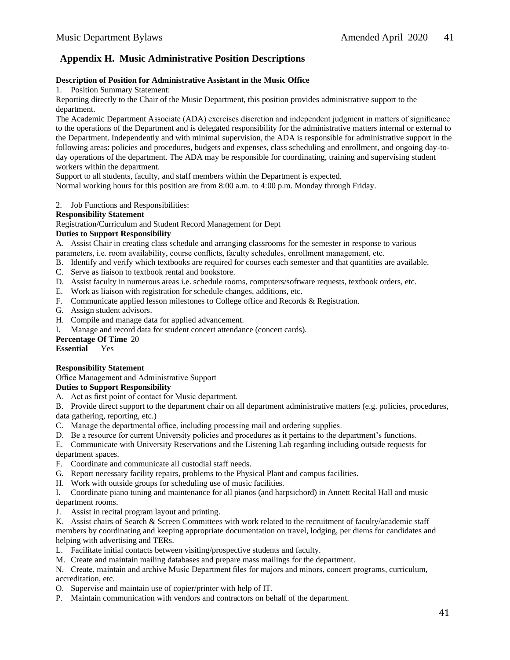#### **Appendix H. Music Administrative Position Descriptions**

#### **Description of Position for Administrative Assistant in the Music Office**

1. Position Summary Statement:

Reporting directly to the Chair of the Music Department, this position provides administrative support to the department.

The Academic Department Associate (ADA) exercises discretion and independent judgment in matters of significance to the operations of the Department and is delegated responsibility for the administrative matters internal or external to the Department. Independently and with minimal supervision, the ADA is responsible for administrative support in the following areas: policies and procedures, budgets and expenses, class scheduling and enrollment, and ongoing day-today operations of the department. The ADA may be responsible for coordinating, training and supervising student workers within the department.

Support to all students, faculty, and staff members within the Department is expected.

Normal working hours for this position are from 8:00 a.m. to 4:00 p.m. Monday through Friday.

2. Job Functions and Responsibilities:

#### **Responsibility Statement**

Registration/Curriculum and Student Record Management for Dept

#### **Duties to Support Responsibility**

A. Assist Chair in creating class schedule and arranging classrooms for the semester in response to various parameters, i.e. room availability, course conflicts, faculty schedules, enrollment management, etc.

- B. Identify and verify which textbooks are required for courses each semester and that quantities are available.
- C. Serve as liaison to textbook rental and bookstore.
- D. Assist faculty in numerous areas i.e. schedule rooms, computers/software requests, textbook orders, etc.
- E. Work as liaison with registration for schedule changes, additions, etc.
- F. Communicate applied lesson milestones to College office and Records & Registration.
- G. Assign student advisors.
- H. Compile and manage data for applied advancement.
- I. Manage and record data for student concert attendance (concert cards).

**Percentage Of Time** 20

**Essential** Yes

#### **Responsibility Statement**

Office Management and Administrative Support

#### **Duties to Support Responsibility**

A. Act as first point of contact for Music department.

B. Provide direct support to the department chair on all department administrative matters (e.g. policies, procedures, data gathering, reporting, etc.)

- C. Manage the departmental office, including processing mail and ordering supplies.
- D. Be a resource for current University policies and procedures as it pertains to the department's functions.
- E. Communicate with University Reservations and the Listening Lab regarding including outside requests for

department spaces.

- F. Coordinate and communicate all custodial staff needs.
- G. Report necessary facility repairs, problems to the Physical Plant and campus facilities.
- H. Work with outside groups for scheduling use of music facilities.

I. Coordinate piano tuning and maintenance for all pianos (and harpsichord) in Annett Recital Hall and music department rooms.

- J. Assist in recital program layout and printing.
- K. Assist chairs of Search & Screen Committees with work related to the recruitment of faculty/academic staff members by coordinating and keeping appropriate documentation on travel, lodging, per diems for candidates and helping with advertising and TERs.
- L. Facilitate initial contacts between visiting/prospective students and faculty.
- M. Create and maintain mailing databases and prepare mass mailings for the department.
- N. Create, maintain and archive Music Department files for majors and minors, concert programs, curriculum, accreditation, etc.
- O. Supervise and maintain use of copier/printer with help of IT.
- P. Maintain communication with vendors and contractors on behalf of the department.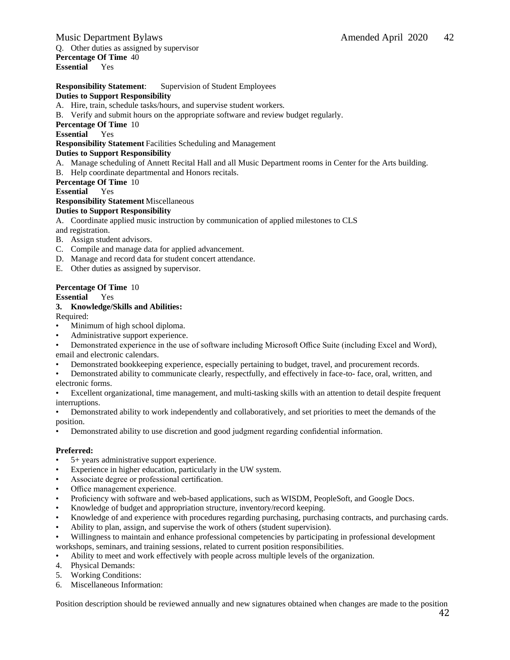#### Music Department Bylaws Amended April 2020 42 Q. Other duties as assigned by supervisor **Percentage Of Time** 40 **Essential** Yes

#### **Responsibility Statement**: Supervision of Student Employees

#### **Duties to Support Responsibility**

A. Hire, train, schedule tasks/hours, and supervise student workers.

B. Verify and submit hours on the appropriate software and review budget regularly.

**Percentage Of Time** 10

**Essential** Yes

**Responsibility Statement**Facilities Scheduling and Management

#### **Duties to Support Responsibility**

- A. Manage scheduling of Annett Recital Hall and all Music Department rooms in Center for the Arts building.
- B. Help coordinate departmental and Honors recitals.

#### **Percentage Of Time** 10

**Essential** Yes

#### **Responsibility Statement** Miscellaneous

#### **Duties to Support Responsibility**

A. Coordinate applied music instruction by communication of applied milestones to CLS and registration.

- B. Assign student advisors.
- C. Compile and manage data for applied advancement.
- D. Manage and record data for student concert attendance.
- E. Other duties as assigned by supervisor.

#### **Percentage Of Time** 10

#### **Essential** Yes

#### **3. Knowledge/Skills and Abilities:**

Required:

- Minimum of high school diploma.
- Administrative support experience.

• Demonstrated experience in the use of software including Microsoft Office Suite (including Excel and Word), email and electronic calendars.

- Demonstrated bookkeeping experience, especially pertaining to budget, travel, and procurement records.
- Demonstrated ability to communicate clearly, respectfully, and effectively in face-to- face, oral, written, and electronic forms.

• Excellent organizational, time management, and multi-tasking skills with an attention to detail despite frequent interruptions.

• Demonstrated ability to work independently and collaboratively, and set priorities to meet the demands of the position.

• Demonstrated ability to use discretion and good judgment regarding confidential information.

#### **Preferred:**

- 5+ years administrative support experience.
- Experience in higher education, particularly in the UW system.
- Associate degree or professional certification.
- Office management experience.
- Proficiency with software and web-based applications, such as WISDM, PeopleSoft, and Google Docs.
- Knowledge of budget and appropriation structure, inventory/record keeping.
- Knowledge of and experience with procedures regarding purchasing, purchasing contracts, and purchasing cards.
- Ability to plan, assign, and supervise the work of others (student supervision).
- Willingness to maintain and enhance professional competencies by participating in professional development workshops, seminars, and training sessions, related to current position responsibilities.
- Ability to meet and work effectively with people across multiple levels of the organization.
- 4. Physical Demands:
- 5. Working Conditions:
- 6. Miscellaneous Information:

Position description should be reviewed annually and new signatures obtained when changes are made to the position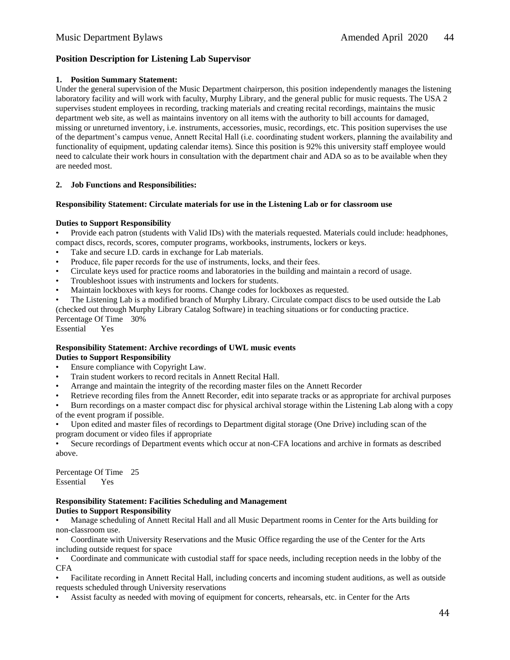#### **Position Description for Listening Lab Supervisor**

#### **1. Position Summary Statement:**

Under the general supervision of the Music Department chairperson, this position independently manages the listening laboratory facility and will work with faculty, Murphy Library, and the general public for music requests. The USA 2 supervises student employees in recording, tracking materials and creating recital recordings, maintains the music department web site, as well as maintains inventory on all items with the authority to bill accounts for damaged, missing or unreturned inventory, i.e. instruments, accessories, music, recordings, etc. This position supervises the use of the department's campus venue, Annett Recital Hall (i.e. coordinating student workers, planning the availability and functionality of equipment, updating calendar items). Since this position is 92% this university staff employee would need to calculate their work hours in consultation with the department chair and ADA so as to be available when they are needed most.

#### **2. Job Functions and Responsibilities:**

#### **Responsibility Statement: Circulate materials for use in the Listening Lab or for classroom use**

#### **Duties to Support Responsibility**

• Provide each patron (students with Valid IDs) with the materials requested. Materials could include: headphones, compact discs, records, scores, computer programs, workbooks, instruments, lockers or keys.

- Take and secure I.D. cards in exchange for Lab materials.
- Produce, file paper records for the use of instruments, locks, and their fees.
- Circulate keys used for practice rooms and laboratories in the building and maintain a record of usage.
- Troubleshoot issues with instruments and lockers for students.
- Maintain lockboxes with keys for rooms. Change codes for lockboxes as requested.

• The Listening Lab is a modified branch of Murphy Library. Circulate compact discs to be used outside the Lab

(checked out through Murphy Library Catalog Software) in teaching situations or for conducting practice.

Percentage Of Time 30% Essential Yes

#### **Responsibility Statement: Archive recordings of UWL music events Duties to Support Responsibility**

- Ensure compliance with Copyright Law.
- Train student workers to record recitals in Annett Recital Hall.
- Arrange and maintain the integrity of the recording master files on the Annett Recorder
- Retrieve recording files from the Annett Recorder, edit into separate tracks or as appropriate for archival purposes

• Burn recordings on a master compact disc for physical archival storage within the Listening Lab along with a copy of the event program if possible.

• Upon edited and master files of recordings to Department digital storage (One Drive) including scan of the program document or video files if appropriate

• Secure recordings of Department events which occur at non-CFA locations and archive in formats as described above.

Percentage Of Time 25 Essential Yes

#### **Responsibility Statement: Facilities Scheduling and Management Duties to Support Responsibility**

• Manage scheduling of Annett Recital Hall and all Music Department rooms in Center for the Arts building for non-classroom use.

• Coordinate with University Reservations and the Music Office regarding the use of the Center for the Arts including outside request for space

• Coordinate and communicate with custodial staff for space needs, including reception needs in the lobby of the CFA

• Facilitate recording in Annett Recital Hall, including concerts and incoming student auditions, as well as outside requests scheduled through University reservations

• Assist faculty as needed with moving of equipment for concerts, rehearsals, etc. in Center for the Arts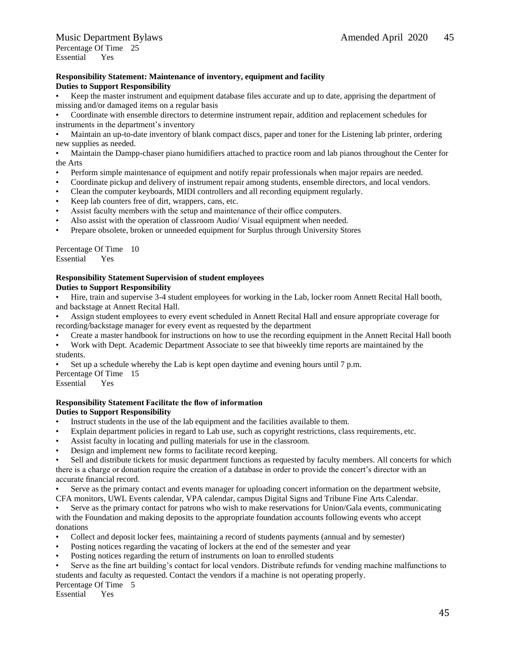#### **Responsibility Statement: Maintenance of inventory, equipment and facility Duties to Support Responsibility**

• Keep the master instrument and equipment database files accurate and up to date, apprising the department of missing and/or damaged items on a regular basis

• Coordinate with ensemble directors to determine instrument repair, addition and replacement schedules for instruments in the department's inventory

• Maintain an up-to-date inventory of blank compact discs, paper and toner for the Listening lab printer, ordering new supplies as needed.

• Maintain the Dampp-chaser piano humidifiers attached to practice room and lab pianos throughout the Center for the Arts

- Perform simple maintenance of equipment and notify repair professionals when major repairs are needed.
- Coordinate pickup and delivery of instrument repair among students, ensemble directors, and local vendors.
- Clean the computer keyboards, MIDI controllers and all recording equipment regularly.
- Keep lab counters free of dirt, wrappers, cans, etc.
- Assist faculty members with the setup and maintenance of their office computers.
- Also assist with the operation of classroom Audio/ Visual equipment when needed.
- Prepare obsolete, broken or unneeded equipment for Surplus through University Stores

Percentage Of Time 10 Essential Yes

#### **Responsibility StatementSupervision of student employees Duties to Support Responsibility**

• Hire, train and supervise 3-4 student employees for working in the Lab, locker room Annett Recital Hall booth, and backstage at Annett Recital Hall.

- Assign student employees to every event scheduled in Annett Recital Hall and ensure appropriate coverage for recording/backstage manager for every event as requested by the department
- Create a master handbook for instructions on how to use the recording equipment in the Annett Recital Hall booth
- Work with Dept. Academic Department Associate to see that biweekly time reports are maintained by the students.
- Set up a schedule whereby the Lab is kept open daytime and evening hours until 7 p.m.

Percentage Of Time 15 Essential Yes

#### **Responsibility Statement Facilitate the flow of information**

#### **Duties to Support Responsibility**

- Instruct students in the use of the lab equipment and the facilities available to them.
- Explain department policies in regard to Lab use, such as copyright restrictions, class requirements, etc.
- Assist faculty in locating and pulling materials for use in the classroom.
- Design and implement new forms to facilitate record keeping.

Sell and distribute tickets for music department functions as requested by faculty members. All concerts for which there is a charge or donation require the creation of a database in order to provide the concert's director with an accurate financial record.

• Serve as the primary contact and events manager for uploading concert information on the department website, CFA monitors, UWL Events calendar, VPA calendar, campus Digital Signs and Tribune Fine Arts Calendar.

• Serve as the primary contact for patrons who wish to make reservations for Union/Gala events, communicating with the Foundation and making deposits to the appropriate foundation accounts following events who accept donations

- Collect and deposit locker fees, maintaining a record of students payments (annual and by semester)
- Posting notices regarding the vacating of lockers at the end of the semester and year
- Posting notices regarding the return of instruments on loan to enrolled students
- Serve as the fine art building's contact for local vendors. Distribute refunds for vending machine malfunctions to students and faculty as requested. Contact the vendors if a machine is not operating properly.

Percentage Of Time 5

Essential Yes